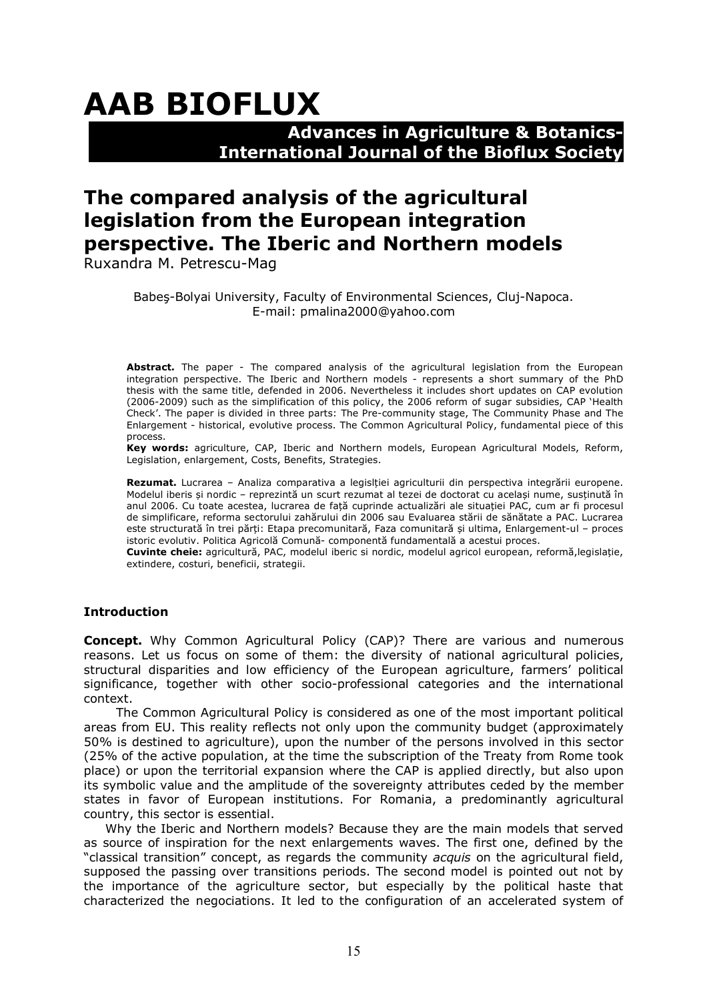# **AAB BIOFLUX**

### **Advances in Agriculture & Botanics- International Journal of the Bioflux Society**

## **The compared analysis of the agricultural legislation from the European integration perspective. The Iberic and Northern models**

Ruxandra M. Petrescu-Mag

Babeş-Bolyai University, Faculty of Environmental Sciences, Cluj-Napoca. E-mail: pmalina2000@yahoo.com

**Abstract.** The paper - The compared analysis of the agricultural legislation from the European integration perspective. The Iberic and Northern models - represents a short summary of the PhD thesis with the same title, defended in 2006. Nevertheless it includes short updates on CAP evolution (2006-2009) such as the simplification of this policy, the 2006 reform of sugar subsidies, CAP 'Health Check'. The paper is divided in three parts: The Pre-community stage, The Community Phase and The Enlargement - historical, evolutive process. The Common Agricultural Policy, fundamental piece of this process.

**Key words:** agriculture, CAP, Iberic and Northern models, European Agricultural Models, Reform, Legislation, enlargement, Costs, Benefits, Strategies.

**Rezumat.** Lucrarea – Analiza comparativa a legislției agriculturii din perspectiva integrării europene. Modelul iberis și nordic – reprezintă un scurt rezumat al tezei de doctorat cu același nume, susținută în anul 2006. Cu toate acestea, lucrarea de față cuprinde actualizări ale situației PAC, cum ar fi procesul de simplificare, reforma sectorului zahărului din 2006 sau Evaluarea stării de sănătate a PAC. Lucrarea este structurată în trei părți: Etapa precomunitară, Faza comunitară și ultima, Enlargement-ul – proces istoric evolutiv. Politica Agricolă Comună- componentă fundamentală a acestui proces.

**Cuvinte cheie:** agricultură, PAC, modelul iberic si nordic, modelul agricol european, reformă,legislație, extindere, costuri, beneficii, strategii.

#### **Introduction**

**Concept.** Why Common Agricultural Policy (CAP)? There are various and numerous reasons. Let us focus on some of them: the diversity of national agricultural policies, structural disparities and low efficiency of the European agriculture, farmers' political significance, together with other socio-professional categories and the international context.

The Common Agricultural Policy is considered as one of the most important political areas from EU. This reality reflects not only upon the community budget (approximately 50% is destined to agriculture), upon the number of the persons involved in this sector (25% of the active population, at the time the subscription of the Treaty from Rome took place) or upon the territorial expansion where the CAP is applied directly, but also upon its symbolic value and the amplitude of the sovereignty attributes ceded by the member states in favor of European institutions. For Romania, a predominantly agricultural country, this sector is essential.

Why the Iberic and Northern models? Because they are the main models that served as source of inspiration for the next enlargements waves. The first one, defined by the "classical transition" concept, as regards the community *acquis* on the agricultural field, supposed the passing over transitions periods. The second model is pointed out not by the importance of the agriculture sector, but especially by the political haste that characterized the negociations. It led to the configuration of an accelerated system of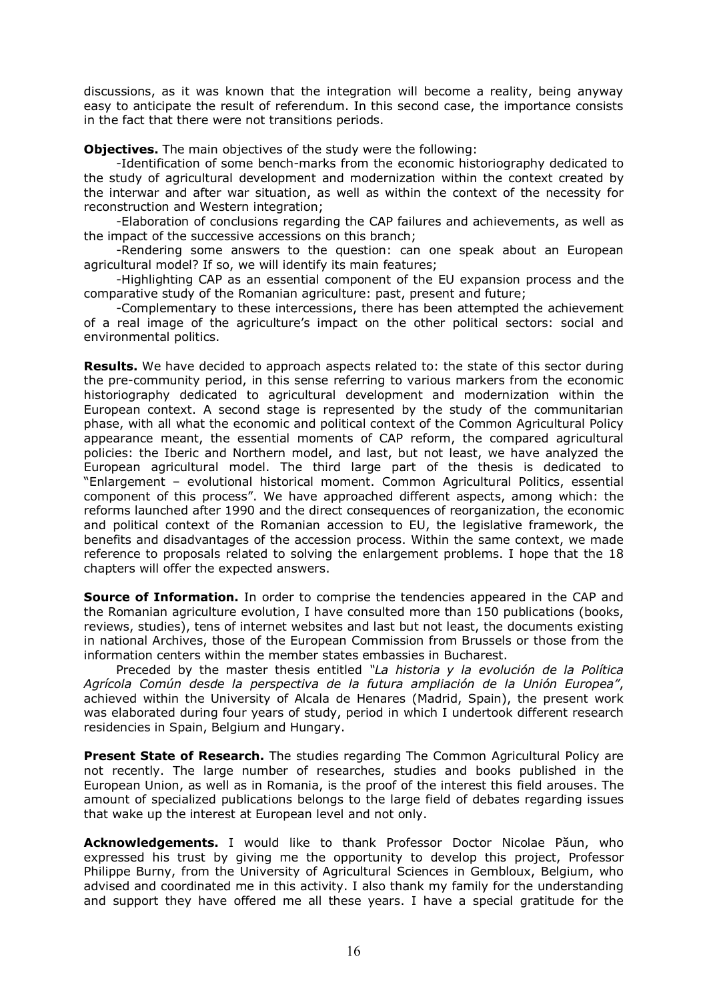discussions, as it was known that the integration will become a reality, being anyway easy to anticipate the result of referendum. In this second case, the importance consists in the fact that there were not transitions periods.

**Objectives.** The main objectives of the study were the following:

-Identification of some bench-marks from the economic historiography dedicated to the study of agricultural development and modernization within the context created by the interwar and after war situation, as well as within the context of the necessity for reconstruction and Western integration;

-Elaboration of conclusions regarding the CAP failures and achievements, as well as the impact of the successive accessions on this branch;

-Rendering some answers to the question: can one speak about an European agricultural model? If so, we will identify its main features;

-Highlighting CAP as an essential component of the EU expansion process and the comparative study of the Romanian agriculture: past, present and future;

-Complementary to these intercessions, there has been attempted the achievement of a real image of the agriculture's impact on the other political sectors: social and environmental politics.

**Results.** We have decided to approach aspects related to: the state of this sector during the pre-community period, in this sense referring to various markers from the economic historiography dedicated to agricultural development and modernization within the European context. A second stage is represented by the study of the communitarian phase, with all what the economic and political context of the Common Agricultural Policy appearance meant, the essential moments of CAP reform, the compared agricultural policies: the Iberic and Northern model, and last, but not least, we have analyzed the European agricultural model. The third large part of the thesis is dedicated to "Enlargement – evolutional historical moment. Common Agricultural Politics, essential component of this process". We have approached different aspects, among which: the reforms launched after 1990 and the direct consequences of reorganization, the economic and political context of the Romanian accession to EU, the legislative framework, the benefits and disadvantages of the accession process. Within the same context, we made reference to proposals related to solving the enlargement problems. I hope that the 18 chapters will offer the expected answers.

**Source of Information.** In order to comprise the tendencies appeared in the CAP and the Romanian agriculture evolution, I have consulted more than 150 publications (books, reviews, studies), tens of internet websites and last but not least, the documents existing in national Archives, those of the European Commission from Brussels or those from the information centers within the member states embassies in Bucharest.

Preceded by the master thesis entitled *"La historia y la evolución de la Política Agrícola Común desde la perspectiva de la futura ampliación de la Unión Europea"*, achieved within the University of Alcala de Henares (Madrid, Spain), the present work was elaborated during four years of study, period in which I undertook different research residencies in Spain, Belgium and Hungary.

**Present State of Research.** The studies regarding The Common Agricultural Policy are not recently. The large number of researches, studies and books published in the European Union, as well as in Romania, is the proof of the interest this field arouses. The amount of specialized publications belongs to the large field of debates regarding issues that wake up the interest at European level and not only.

**Acknowledgements.** I would like to thank Professor Doctor Nicolae Păun, who expressed his trust by giving me the opportunity to develop this project, Professor Philippe Burny, from the University of Agricultural Sciences in Gembloux, Belgium, who advised and coordinated me in this activity. I also thank my family for the understanding and support they have offered me all these years. I have a special gratitude for the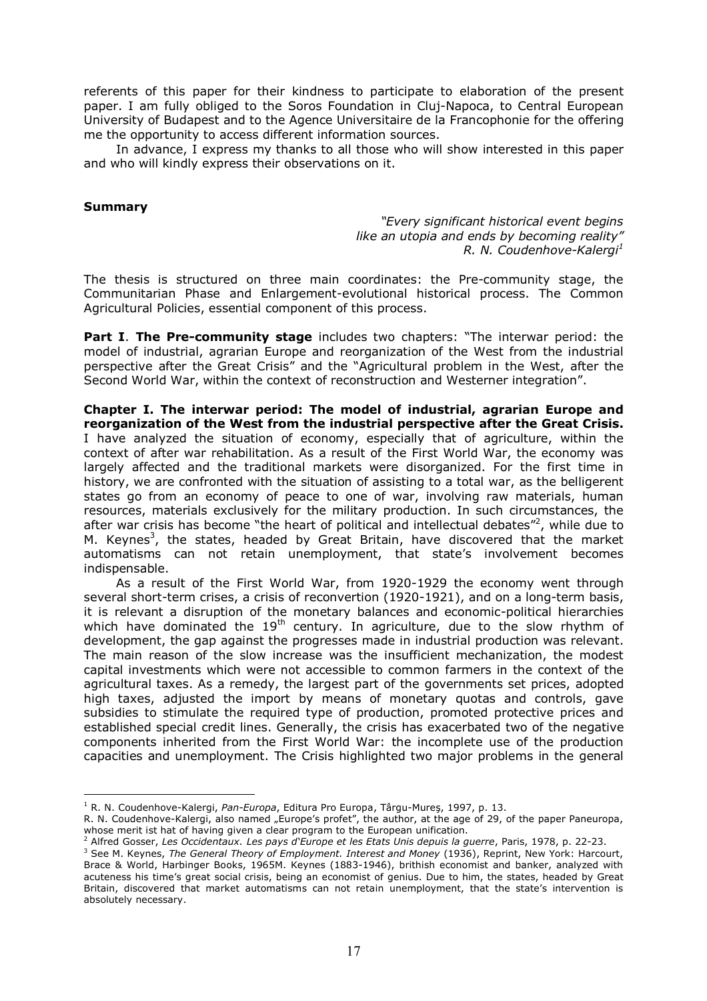referents of this paper for their kindness to participate to elaboration of the present paper. I am fully obliged to the Soros Foundation in Cluj-Napoca, to Central European University of Budapest and to the Agence Universitaire de la Francophonie for the offering me the opportunity to access different information sources.

In advance, I express my thanks to all those who will show interested in this paper and who will kindly express their observations on it.

#### **Summary**

*"Every significant historical event begins like an utopia and ends by becoming reality" R. N. Coudenhove-Kalergi<sup>1</sup>*

The thesis is structured on three main coordinates: the Pre-community stage, the Communitarian Phase and Enlargement-evolutional historical process. The Common Agricultural Policies, essential component of this process.

**Part I**. **The Pre-community stage** includes two chapters: "The interwar period: the model of industrial, agrarian Europe and reorganization of the West from the industrial perspective after the Great Crisis" and the "Agricultural problem in the West, after the Second World War, within the context of reconstruction and Westerner integration".

**Chapter I. The interwar period: The model of industrial, agrarian Europe and reorganization of the West from the industrial perspective after the Great Crisis.**  I have analyzed the situation of economy, especially that of agriculture, within the context of after war rehabilitation. As a result of the First World War, the economy was largely affected and the traditional markets were disorganized. For the first time in history, we are confronted with the situation of assisting to a total war, as the belligerent states go from an economy of peace to one of war, involving raw materials, human resources, materials exclusively for the military production. In such circumstances, the after war crisis has become "the heart of political and intellectual debates"<sup>2</sup>, while due to M. Keynes<sup>3</sup>, the states, headed by Great Britain, have discovered that the market automatisms can not retain unemployment, that state's involvement becomes indispensable.

As a result of the First World War, from 1920-1929 the economy went through several short-term crises, a crisis of reconvertion (1920-1921), and on a long-term basis, it is relevant a disruption of the monetary balances and economic-political hierarchies which have dominated the  $19<sup>th</sup>$  century. In agriculture, due to the slow rhythm of development, the gap against the progresses made in industrial production was relevant. The main reason of the slow increase was the insufficient mechanization, the modest capital investments which were not accessible to common farmers in the context of the agricultural taxes. As a remedy, the largest part of the governments set prices, adopted high taxes, adjusted the import by means of monetary quotas and controls, gave subsidies to stimulate the required type of production, promoted protective prices and established special credit lines. Generally, the crisis has exacerbated two of the negative components inherited from the First World War: the incomplete use of the production capacities and unemployment. The Crisis highlighted two major problems in the general

 $\overline{a}$ <sup>1</sup> R. N. Coudenhove-Kalergi, *Pan-Europa*, Editura Pro Europa, Târgu-Mureş, 1997, p. 13.

R. N. Coudenhove-Kalergi, also named "Europe's profet", the author, at the age of 29, of the paper Paneuropa, whose merit ist hat of having given a clear program to the European unification.

<sup>2</sup> Alfred Gosser, *Les Occidentaux. Les pays d'Europe et les Etats Unis depuis la guerre*, Paris, 1978, p. 22-23.

<sup>3</sup> See M. Keynes, *The General Theory of Employment. Interest and Money* (1936), Reprint, New York: Harcourt, Brace & World, Harbinger Books, 1965M. Keynes (1883-1946), brithish economist and banker, analyzed with acuteness his time's great social crisis, being an economist of genius. Due to him, the states, headed by Great Britain, discovered that market automatisms can not retain unemployment, that the state's intervention is absolutely necessary.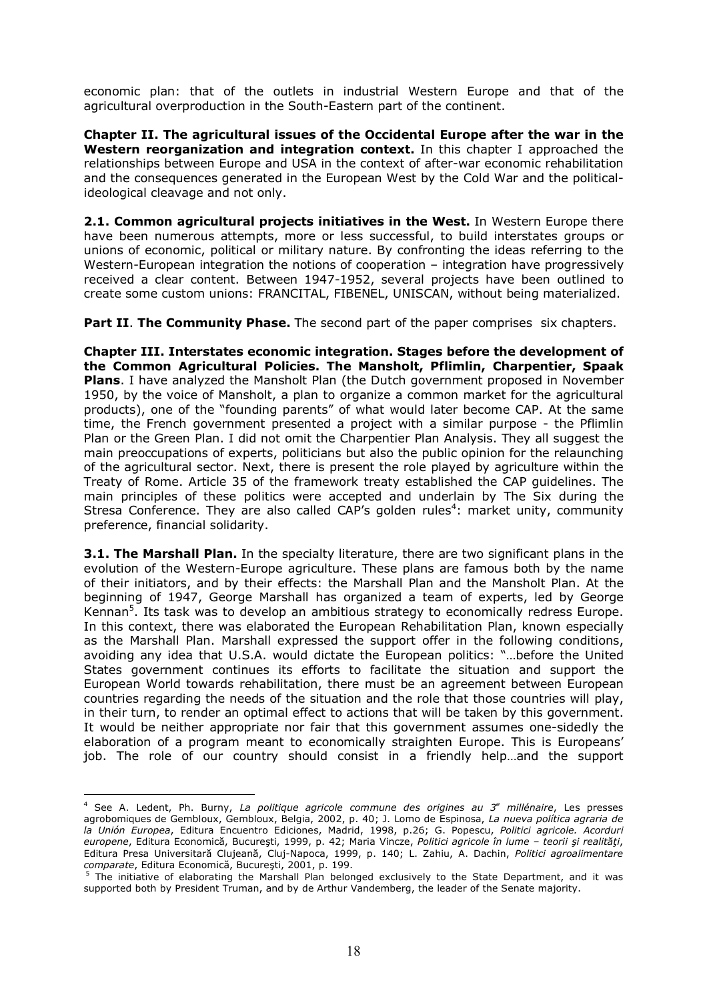economic plan: that of the outlets in industrial Western Europe and that of the agricultural overproduction in the South-Eastern part of the continent.

**Chapter II. The agricultural issues of the Occidental Europe after the war in the Western reorganization and integration context.** In this chapter I approached the relationships between Europe and USA in the context of after-war economic rehabilitation and the consequences generated in the European West by the Cold War and the politicalideological cleavage and not only.

**2.1. Common agricultural projects initiatives in the West.** In Western Europe there have been numerous attempts, more or less successful, to build interstates groups or unions of economic, political or military nature. By confronting the ideas referring to the Western-European integration the notions of cooperation – integration have progressively received a clear content. Between 1947-1952, several projects have been outlined to create some custom unions: FRANCITAL, FIBENEL, UNISCAN, without being materialized.

**Part II. The Community Phase.** The second part of the paper comprises six chapters.

**Chapter III. Interstates economic integration. Stages before the development of the Common Agricultural Policies. The Mansholt, Pflimlin, Charpentier, Spaak Plans**. I have analyzed the Mansholt Plan (the Dutch government proposed in November 1950, by the voice of Mansholt, a plan to organize a common market for the agricultural products), one of the "founding parents" of what would later become CAP. At the same time, the French government presented a project with a similar purpose - the Pflimlin Plan or the Green Plan. I did not omit the Charpentier Plan Analysis. They all suggest the main preoccupations of experts, politicians but also the public opinion for the relaunching of the agricultural sector. Next, there is present the role played by agriculture within the Treaty of Rome. Article 35 of the framework treaty established the CAP guidelines. The main principles of these politics were accepted and underlain by The Six during the Stresa Conference. They are also called CAP's golden rules<sup>4</sup>: market unity, community preference, financial solidarity.

**3.1. The Marshall Plan.** In the specialty literature, there are two significant plans in the evolution of the Western-Europe agriculture. These plans are famous both by the name of their initiators, and by their effects: the Marshall Plan and the Mansholt Plan. At the beginning of 1947, George Marshall has organized a team of experts, led by George Kennan<sup>5</sup>. Its task was to develop an ambitious strategy to economically redress Europe. In this context, there was elaborated the European Rehabilitation Plan, known especially as the Marshall Plan. Marshall expressed the support offer in the following conditions, avoiding any idea that U.S.A. would dictate the European politics: "…before the United States government continues its efforts to facilitate the situation and support the European World towards rehabilitation, there must be an agreement between European countries regarding the needs of the situation and the role that those countries will play, in their turn, to render an optimal effect to actions that will be taken by this government. It would be neither appropriate nor fair that this government assumes one-sidedly the elaboration of a program meant to economically straighten Europe. This is Europeans' job. The role of our country should consist in a friendly help…and the support

<sup>&</sup>lt;sup>4</sup> See A. Ledent, Ph. Burny, La politique agricole commune des origines au 3<sup>e</sup> millénaire, Les presses agrobomiques de Gembloux, Gembloux, Belgia, 2002, p. 40; J. Lomo de Espinosa, *La nueva política agraria de la Unión Europea*, Editura Encuentro Ediciones, Madrid, 1998, p.26; G. Popescu, *Politici agricole. Acorduri europene*, Editura Economică, Bucureşti, 1999, p. 42; Maria Vincze, *Politici agricole în lume – teorii şi realităţi*, Editura Presa Universitară Clujeană, Cluj-Napoca, 1999, p. 140; L. Zahiu, A. Dachin, *Politici agroalimentare comparate*, Editura Economică, Bucureşti, 2001, p. 199.

<sup>&</sup>lt;sup>5</sup> The initiative of elaborating the Marshall Plan belonged exclusively to the State Department, and it was supported both by President Truman, and by de Arthur Vandemberg, the leader of the Senate majority.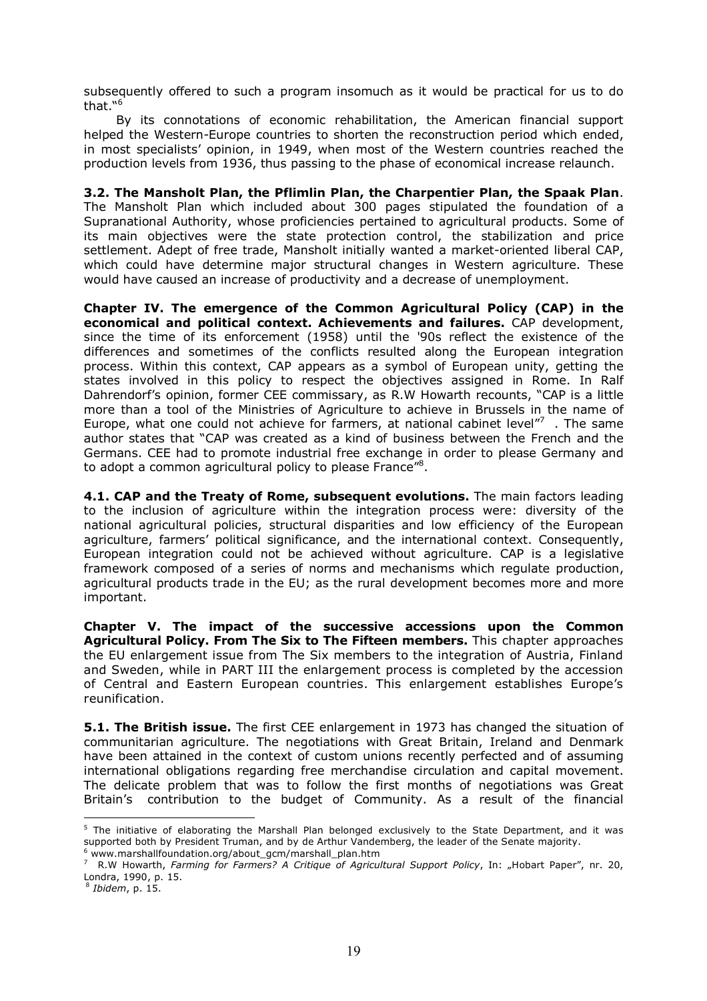subsequently offered to such a program insomuch as it would be practical for us to do that."<sup>6</sup>

By its connotations of economic rehabilitation, the American financial support helped the Western-Europe countries to shorten the reconstruction period which ended, in most specialists' opinion, in 1949, when most of the Western countries reached the production levels from 1936, thus passing to the phase of economical increase relaunch.

**3.2. The Mansholt Plan, the Pflimlin Plan, the Charpentier Plan, the Spaak Plan**. The Mansholt Plan which included about 300 pages stipulated the foundation of a Supranational Authority, whose proficiencies pertained to agricultural products. Some of its main objectives were the state protection control, the stabilization and price settlement. Adept of free trade, Mansholt initially wanted a market-oriented liberal CAP, which could have determine major structural changes in Western agriculture. These would have caused an increase of productivity and a decrease of unemployment.

**Chapter IV. The emergence of the Common Agricultural Policy (CAP) in the economical and political context. Achievements and failures.** CAP development, since the time of its enforcement (1958) until the '90s reflect the existence of the differences and sometimes of the conflicts resulted along the European integration process. Within this context, CAP appears as a symbol of European unity, getting the states involved in this policy to respect the objectives assigned in Rome. In Ralf Dahrendorf's opinion, former CEE commissary, as R.W Howarth recounts, "CAP is a little more than a tool of the Ministries of Agriculture to achieve in Brussels in the name of Europe, what one could not achieve for farmers, at national cabinet level" $7\,$ . The same author states that "CAP was created as a kind of business between the French and the Germans. CEE had to promote industrial free exchange in order to please Germany and to adopt a common agricultural policy to please France"<sup>8</sup>.

**4.1. CAP and the Treaty of Rome, subsequent evolutions.** The main factors leading to the inclusion of agriculture within the integration process were: diversity of the national agricultural policies, structural disparities and low efficiency of the European agriculture, farmers' political significance, and the international context. Consequently, European integration could not be achieved without agriculture. CAP is a legislative framework composed of a series of norms and mechanisms which regulate production, agricultural products trade in the EU; as the rural development becomes more and more important.

**Chapter V. The impact of the successive accessions upon the Common Agricultural Policy. From The Six to The Fifteen members.** This chapter approaches the EU enlargement issue from The Six members to the integration of Austria, Finland and Sweden, while in PART III the enlargement process is completed by the accession of Central and Eastern European countries. This enlargement establishes Europe's reunification.

**5.1. The British issue.** The first CEE enlargement in 1973 has changed the situation of communitarian agriculture. The negotiations with Great Britain, Ireland and Denmark have been attained in the context of custom unions recently perfected and of assuming international obligations regarding free merchandise circulation and capital movement. The delicate problem that was to follow the first months of negotiations was Great Britain's contribution to the budget of Community. As a result of the financial

<sup>8</sup> *Ibidem*, p. 15.

<sup>&</sup>lt;sup>5</sup> The initiative of elaborating the Marshall Plan belonged exclusively to the State Department, and it was supported both by President Truman, and by de Arthur Vandemberg, the leader of the Senate majority. 6 www.marshallfoundation.org/about\_gcm/marshall\_plan.htm

<sup>&</sup>lt;sup>7</sup> R.W Howarth, *Farming for Farmers? A Critique of Agricultural Support Policy*, In: "Hobart Paper", nr. 20, Londra, 1990, p. 15.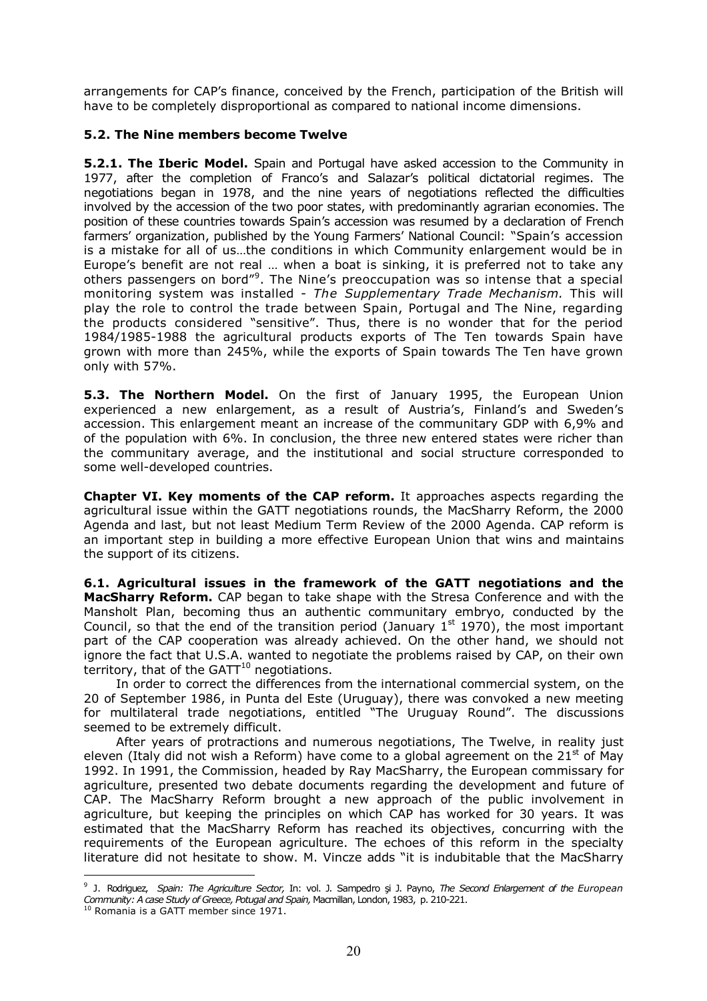arrangements for CAP's finance, conceived by the French, participation of the British will have to be completely disproportional as compared to national income dimensions.

#### **5.2. The Nine members become Twelve**

**5.2.1. The Iberic Model.** Spain and Portugal have asked accession to the Community in 1977, after the completion of Franco's and Salazar's political dictatorial regimes. The negotiations began in 1978, and the nine years of negotiations reflected the difficulties involved by the accession of the two poor states, with predominantly agrarian economies. The position of these countries towards Spain's accession was resumed by a declaration of French farmers' organization, published by the Young Farmers' National Council: "Spain's accession is a mistake for all of us…the conditions in which Community enlargement would be in Europe's benefit are not real … when a boat is sinking, it is preferred not to take any others passengers on bord"<sup>9</sup>. The Nine's preoccupation was so intense that a special monitoring system was installed - *The Supplementary Trade Mechanism.* This will play the role to control the trade between Spain, Portugal and The Nine, regarding the products considered "sensitive". Thus, there is no wonder that for the period 1984/1985-1988 the agricultural products exports of The Ten towards Spain have grown with more than 245%, while the exports of Spain towards The Ten have grown only with 57%.

**5.3. The Northern Model.** On the first of January 1995, the European Union experienced a new enlargement, as a result of Austria's, Finland's and Sweden's accession. This enlargement meant an increase of the communitary GDP with 6,9% and of the population with 6%. In conclusion, the three new entered states were richer than the communitary average, and the institutional and social structure corresponded to some well-developed countries.

**Chapter VI. Key moments of the CAP reform.** It approaches aspects regarding the agricultural issue within the GATT negotiations rounds, the MacSharry Reform, the 2000 Agenda and last, but not least Medium Term Review of the 2000 Agenda. CAP reform is an important step in building a more effective European Union that wins and maintains the support of its citizens.

**6.1. Agricultural issues in the framework of the GATT negotiations and the MacSharry Reform.** CAP began to take shape with the Stresa Conference and with the Mansholt Plan, becoming thus an authentic communitary embryo, conducted by the Council, so that the end of the transition period (January  $1^{st}$  1970), the most important part of the CAP cooperation was already achieved. On the other hand, we should not ignore the fact that U.S.A. wanted to negotiate the problems raised by CAP, on their own territory, that of the  $GATT^{10}$  negotiations.

In order to correct the differences from the international commercial system, on the 20 of September 1986, in Punta del Este (Uruguay), there was convoked a new meeting for multilateral trade negotiations, entitled "The Uruguay Round". The discussions seemed to be extremely difficult.

After years of protractions and numerous negotiations, The Twelve, in reality just eleven (Italy did not wish a Reform) have come to a global agreement on the  $21<sup>st</sup>$  of May 1992. In 1991, the Commission, headed by Ray MacSharry, the European commissary for agriculture, presented two debate documents regarding the development and future of CAP. The MacSharry Reform brought a new approach of the public involvement in agriculture, but keeping the principles on which CAP has worked for 30 years. It was estimated that the MacSharry Reform has reached its objectives, concurring with the requirements of the European agriculture. The echoes of this reform in the specialty literature did not hesitate to show. M. Vincze adds "it is indubitable that the MacSharry

 $\overline{a}$ 9 J. Rodriguez, *Spain: The Agriculture Sector,* In: vol. J. Sаmpedro şi J. Payno, *The Second Enlargement of the European Community: A case Study of Greece, Potugal and Spain,* Macmillan, London, 1983, p. 210-221.

 $10$  Romania is a GATT member since 1971.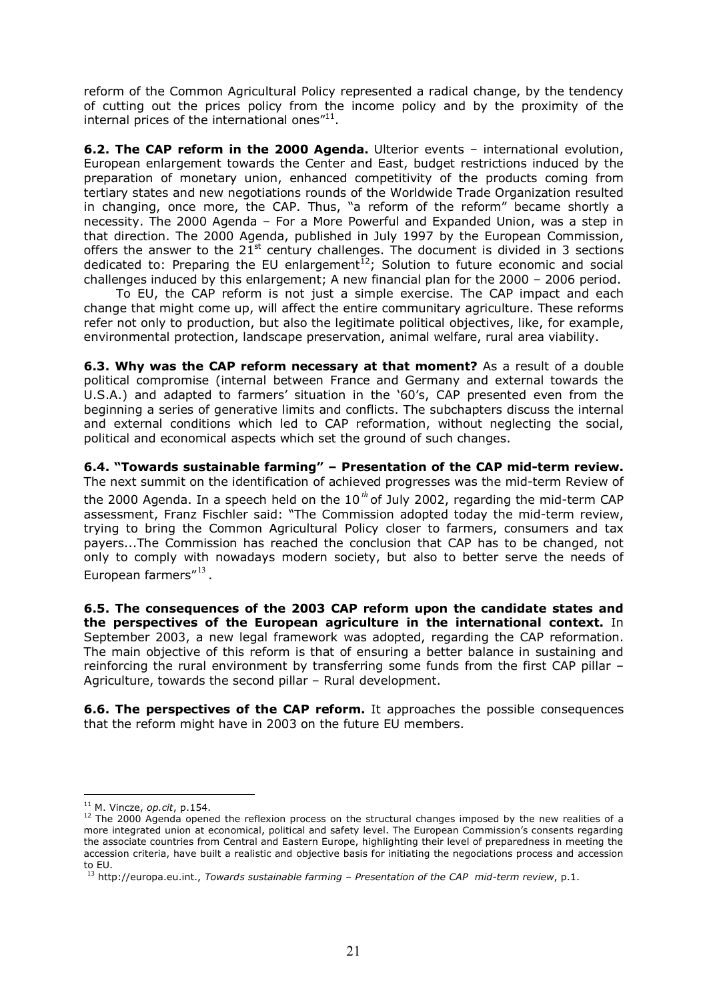reform of the Common Agricultural Policy represented a radical change, by the tendency of cutting out the prices policy from the income policy and by the proximity of the internal prices of the international ones $^{\prime\prime 11}.$ 

**6.2. The CAP reform in the 2000 Agenda.** Ulterior events – international evolution, European enlargement towards the Center and East, budget restrictions induced by the preparation of monetary union, enhanced competitivity of the products coming from tertiary states and new negotiations rounds of the Worldwide Trade Organization resulted in changing, once more, the CAP. Thus, "a reform of the reform" became shortly a necessity. The 2000 Agenda – For a More Powerful and Expanded Union, was a step in that direction. The 2000 Agenda, published in July 1997 by the European Commission, offers the answer to the  $21<sup>st</sup>$  century challenges. The document is divided in 3 sections dedicated to: Preparing the EU enlargement<sup>12</sup>; Solution to future economic and social challenges induced by this enlargement; A new financial plan for the 2000 – 2006 period.

To EU, the CAP reform is not just a simple exercise. The CAP impact and each change that might come up, will affect the entire communitary agriculture. These reforms refer not only to production, but also the legitimate political objectives, like, for example, environmental protection, landscape preservation, animal welfare, rural area viability.

**6.3. Why was the CAP reform necessary at that moment?** As a result of a double political compromise (internal between France and Germany and external towards the U.S.A.) and adapted to farmers' situation in the '60's, CAP presented even from the beginning a series of generative limits and conflicts. The subchapters discuss the internal and external conditions which led to CAP reformation, without neglecting the social, political and economical aspects which set the ground of such changes.

**6.4. "Towards sustainable farming" – Presentation of the CAP mid-term review.** The next summit on the identification of achieved progresses was the mid-term Review of the 2000 Agenda. In a speech held on the 10*th* of July 2002, regarding the mid-term CAP assessment, Franz Fischler said: "The Commission adopted today the mid-term review, trying to bring the Common Agricultural Policy closer to farmers, consumers and tax payers...The Commission has reached the conclusion that CAP has to be changed, not only to comply with nowadays modern society, but also to better serve the needs of European farmers"<sup>13</sup>.

**6.5. The consequences of the 2003 CAP reform upon the candidate states and the perspectives of the European agriculture in the international context.** In September 2003, a new legal framework was adopted, regarding the CAP reformation. The main objective of this reform is that of ensuring a better balance in sustaining and reinforcing the rural environment by transferring some funds from the first CAP pillar – Agriculture, towards the second pillar – Rural development.

**6.6. The perspectives of the CAP reform.** It approaches the possible consequences that the reform might have in 2003 on the future EU members.

 $\overline{a}$ <sup>11</sup> M. Vincze, *op.cit*, p.154.

<sup>&</sup>lt;sup>12</sup> The 2000 Agenda opened the reflexion process on the structural changes imposed by the new realities of a more integrated union at economical, political and safety level. The European Commission's consents regarding the associate countries from Central and Eastern Europe, highlighting their level of preparedness in meeting the accession criteria, have built a realistic and objective basis for initiating the negociations process and accession to EU.

<sup>13</sup> http://europa.eu.int., *Towards sustainable farming – Presentation of the CAP mid-term review*, p.1.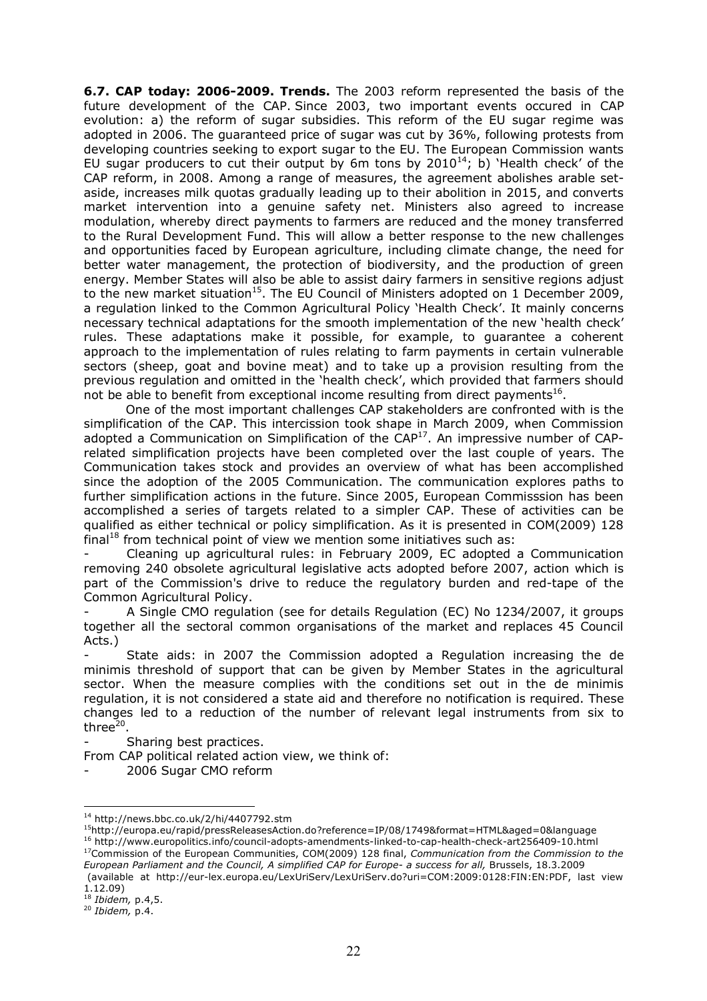**6.7. CAP today: 2006-2009. Trends.** The 2003 reform represented the basis of the future development of the CAP. Since 2003, two important events occured in CAP evolution: a) the reform of sugar subsidies. This reform of the EU sugar regime was adopted in 2006. The guaranteed price of sugar was cut by 36%, following protests from developing countries seeking to export sugar to the EU. The European Commission wants EU sugar producers to cut their output by 6m tons by  $2010^{14}$ ; b) 'Health check' of the CAP reform, in 2008. Among a range of measures, the agreement abolishes arable setaside, increases milk quotas gradually leading up to their abolition in 2015, and converts market intervention into a genuine safety net. Ministers also agreed to increase modulation, whereby direct payments to farmers are reduced and the money transferred to the Rural Development Fund. This will allow a better response to the new challenges and opportunities faced by European agriculture, including climate change, the need for better water management, the protection of biodiversity, and the production of green energy. Member States will also be able to assist dairy farmers in sensitive regions adjust to the new market situation<sup>15</sup>. The EU Council of Ministers adopted on 1 December 2009, a regulation linked to the Common Agricultural Policy 'Health Check'. It mainly concerns necessary technical adaptations for the smooth implementation of the new 'health check' rules. These adaptations make it possible, for example, to guarantee a coherent approach to the implementation of rules relating to farm payments in certain vulnerable sectors (sheep, goat and bovine meat) and to take up a provision resulting from the previous regulation and omitted in the 'health check', which provided that farmers should not be able to benefit from exceptional income resulting from direct payments<sup>16</sup>.

One of the most important challenges CAP stakeholders are confronted with is the simplification of the CAP. This intercission took shape in March 2009, when Commission adopted a Communication on Simplification of the CAP<sup>17</sup>. An impressive number of CAPrelated simplification projects have been completed over the last couple of years. The Communication takes stock and provides an overview of what has been accomplished since the adoption of the 2005 Communication. The communication explores paths to further simplification actions in the future. Since 2005, European Commisssion has been accomplished a series of targets related to a simpler CAP. These of activities can be qualified as either technical or policy simplification. As it is presented in COM(2009) 128 final<sup>18</sup> from technical point of view we mention some initiatives such as:

Cleaning up agricultural rules: in February 2009, EC adopted a Communication removing 240 obsolete agricultural legislative acts adopted before 2007, action which is part of the Commission's drive to reduce the regulatory burden and red-tape of the Common Agricultural Policy.

A Single CMO regulation (see for details Regulation (EC) No 1234/2007, it groups together all the sectoral common organisations of the market and replaces 45 Council Acts.)

State aids: in 2007 the Commission adopted a Regulation increasing the de minimis threshold of support that can be given by Member States in the agricultural sector. When the measure complies with the conditions set out in the de minimis regulation, it is not considered a state aid and therefore no notification is required. These changes led to a reduction of the number of relevant legal instruments from six to three<sup>20</sup>.

Sharing best practices.

From CAP political related action view, we think of:

2006 Sugar CMO reform

http://europa.eu/rapid/pressReleasesAction.do?reference=IP/08/1749&format=HTML&aged=0&language http://www.europolitics.info/council-adopts-amendments-linked-to-cap-health-check-art256409-10.html Commission of the European Communities, COM(2009) 128 final, *Communication from the Commission to the European Parliament and the Council, A simplified CAP for Europe- a success for all,* Brussels, 18.3.2009

 (available at http://eur-lex.europa.eu/LexUriServ/LexUriServ.do?uri=COM:2009:0128:FIN:EN:PDF, last view 1.12.09)

 $\overline{a}$ <sup>14</sup> http://news.bbc.co.uk/2/hi/4407792.stm

<sup>18</sup> *Ibidem,* p.4,5.

<sup>20</sup> *Ibidem,* p.4.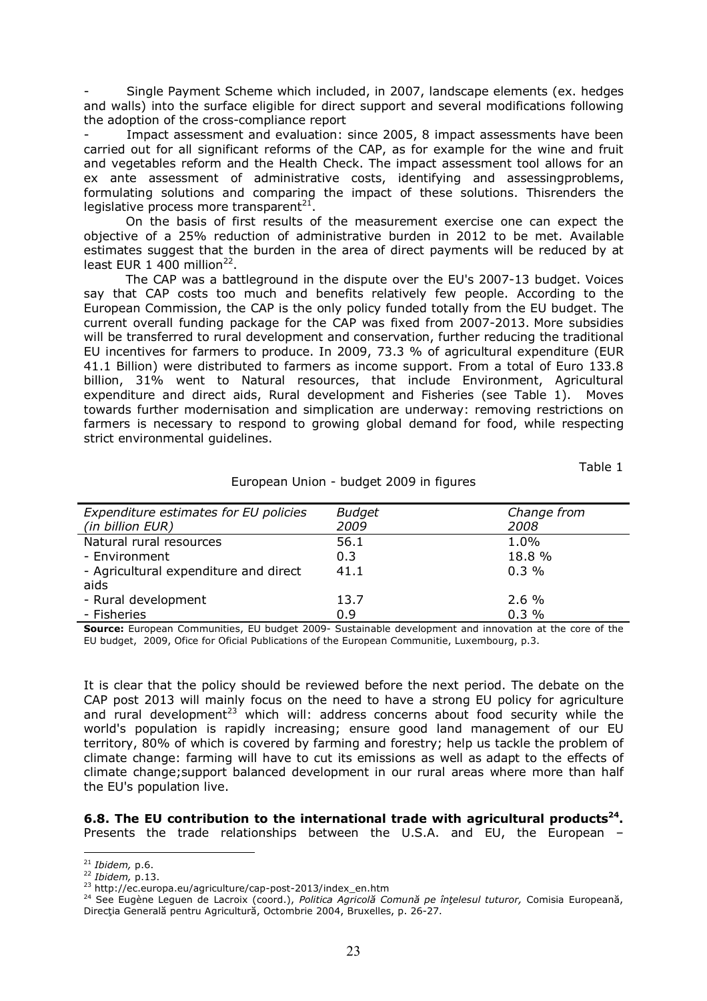Single Payment Scheme which included, in 2007, landscape elements (ex. hedges and walls) into the surface eligible for direct support and several modifications following the adoption of the cross-compliance report

Impact assessment and evaluation: since 2005, 8 impact assessments have been carried out for all significant reforms of the CAP, as for example for the wine and fruit and vegetables reform and the Health Check. The impact assessment tool allows for an ex ante assessment of administrative costs, identifying and assessingproblems, formulating solutions and comparing the impact of these solutions. Thisrenders the legislative process more transparent $^{21}$ .

On the basis of first results of the measurement exercise one can expect the objective of a 25% reduction of administrative burden in 2012 to be met. Available estimates suggest that the burden in the area of direct payments will be reduced by at least EUR 1 400 million $^{22}$ .

The CAP was a battleground in the dispute over the EU's 2007-13 budget. Voices say that CAP costs too much and benefits relatively few people. According to the European Commission, the CAP is the only policy funded totally from the EU budget. The current overall funding package for the CAP was fixed from 2007-2013. More subsidies will be transferred to rural development and conservation, further reducing the traditional EU incentives for farmers to produce. In 2009, 73.3 % of agricultural expenditure (EUR 41.1 Billion) were distributed to farmers as income support. From a total of Euro 133.8 billion, 31% went to Natural resources, that include Environment, Agricultural expenditure and direct aids, Rural development and Fisheries (see Table 1). Moves towards further modernisation and simplication are underway: removing restrictions on farmers is necessary to respond to growing global demand for food, while respecting strict environmental guidelines.

Table 1

| Expenditure estimates for EU policies | <b>Budget</b> | Change from |
|---------------------------------------|---------------|-------------|
| (in billion EUR)                      | 2009          | 2008        |
| Natural rural resources               | 56.1          | 1.0%        |
| - Environment                         | 0.3           | 18.8 %      |
| - Agricultural expenditure and direct | 41.1          | $0.3\%$     |
| aids                                  |               |             |
| - Rural development                   | 13.7          | $2.6\%$     |
| - Fisheries                           | 0.9           | 0.3%        |

#### European Union - budget 2009 in figures

**Source:** European Communities, EU budget 2009- Sustainable development and innovation at the core of the EU budget, 2009, Ofice for Oficial Publications of the European Communitie, Luxembourg, p.3.

It is clear that the policy should be reviewed before the next period. The debate on the CAP post 2013 will mainly focus on the need to have a strong EU policy for agriculture and rural development<sup>23</sup> which will: address concerns about food security while the world's population is rapidly increasing; ensure good land management of our EU territory, 80% of which is covered by farming and forestry; help us tackle the problem of climate change: farming will have to cut its emissions as well as adapt to the effects of climate change;support balanced development in our rural areas where more than half the EU's population live.

**6.8. The EU contribution to the international trade with agricultural products<sup>24</sup> .**  Presents the trade relationships between the U.S.A. and EU, the European –

 $\overline{a}$ <sup>21</sup> *Ibidem,* p.6.

<sup>22</sup> *Ibidem,* p.13.

<sup>&</sup>lt;sup>23</sup> http://ec.europa.eu/agriculture/cap-post-2013/index\_en.htm

<sup>24</sup> See Eugène Leguen de Lacroix (coord.), *Politica Agricolă Comună pe înţelesul tuturor,* Comisia Europeană, Direcția Generală pentru Agricultură, Octombrie 2004, Bruxelles, p. 26-27.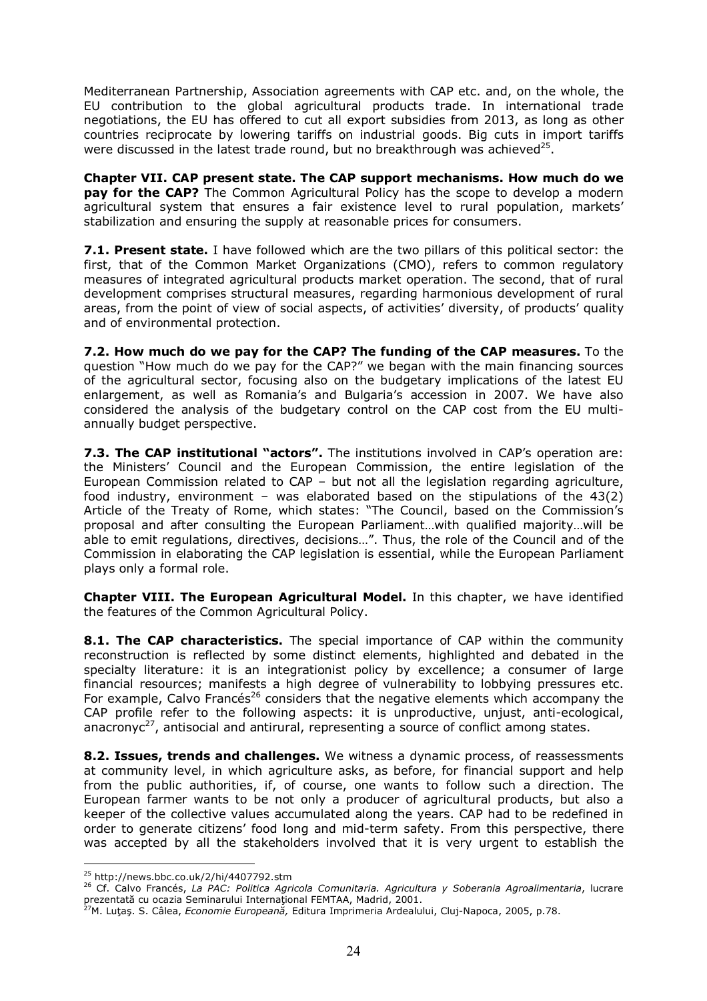Mediterranean Partnership, Association agreements with CAP etc. and, on the whole, the EU contribution to the global agricultural products trade. In international trade negotiations, the EU has offered to cut all export subsidies from 2013, as long as other countries reciprocate by lowering tariffs on industrial goods. Big cuts in import tariffs were discussed in the latest trade round, but no breakthrough was achieved<sup>25</sup>.

**Chapter VII. CAP present state. The CAP support mechanisms. How much do we pay for the CAP?** The Common Agricultural Policy has the scope to develop a modern agricultural system that ensures a fair existence level to rural population, markets' stabilization and ensuring the supply at reasonable prices for consumers.

**7.1. Present state.** I have followed which are the two pillars of this political sector: the first, that of the Common Market Organizations (CMO), refers to common regulatory measures of integrated agricultural products market operation. The second, that of rural development comprises structural measures, regarding harmonious development of rural areas, from the point of view of social aspects, of activities' diversity, of products' quality and of environmental protection.

**7.2. How much do we pay for the CAP? The funding of the CAP measures.** To the question "How much do we pay for the CAP?" we began with the main financing sources of the agricultural sector, focusing also on the budgetary implications of the latest EU enlargement, as well as Romania's and Bulgaria's accession in 2007. We have also considered the analysis of the budgetary control on the CAP cost from the EU multiannually budget perspective.

**7.3. The CAP institutional "actors".** The institutions involved in CAP's operation are: the Ministers' Council and the European Commission, the entire legislation of the European Commission related to CAP – but not all the legislation regarding agriculture, food industry, environment – was elaborated based on the stipulations of the 43(2) Article of the Treaty of Rome, which states: "The Council, based on the Commission's proposal and after consulting the European Parliament…with qualified majority…will be able to emit regulations, directives, decisions…". Thus, the role of the Council and of the Commission in elaborating the CAP legislation is essential, while the European Parliament plays only a formal role.

**Chapter VIII. The European Agricultural Model.** In this chapter, we have identified the features of the Common Agricultural Policy.

**8.1. The CAP characteristics.** The special importance of CAP within the community reconstruction is reflected by some distinct elements, highlighted and debated in the specialty literature: it is an integrationist policy by excellence; a consumer of large financial resources; manifests a high degree of vulnerability to lobbying pressures etc. For example, Calvo Francés<sup>26</sup> considers that the negative elements which accompany the CAP profile refer to the following aspects: it is unproductive, unjust, anti-ecological, anacronyc<sup>27</sup>, antisocial and antirural, representing a source of conflict among states.

**8.2. Issues, trends and challenges.** We witness a dynamic process, of reassessments at community level, in which agriculture asks, as before, for financial support and help from the public authorities, if, of course, one wants to follow such a direction. The European farmer wants to be not only a producer of agricultural products, but also a keeper of the collective values accumulated along the years. CAP had to be redefined in order to generate citizens' food long and mid-term safety. From this perspective, there was accepted by all the stakeholders involved that it is very urgent to establish the

<sup>25</sup> http://news.bbc.co.uk/2/hi/4407792.stm

<sup>26</sup> Cf. Calvo Francés, *La PAC: Politica Agricola Comunitaria. Agricultura y Soberania Agroalimentaria*, lucrare prezentată cu ocazia Seminarului Internaţional FEMTAA, Madrid, 2001.

<sup>27</sup>M. Luţaş. S. Câlea, *Economie Europeană,* Editura Imprimeria Ardealului, Cluj-Napoca, 2005, p.78.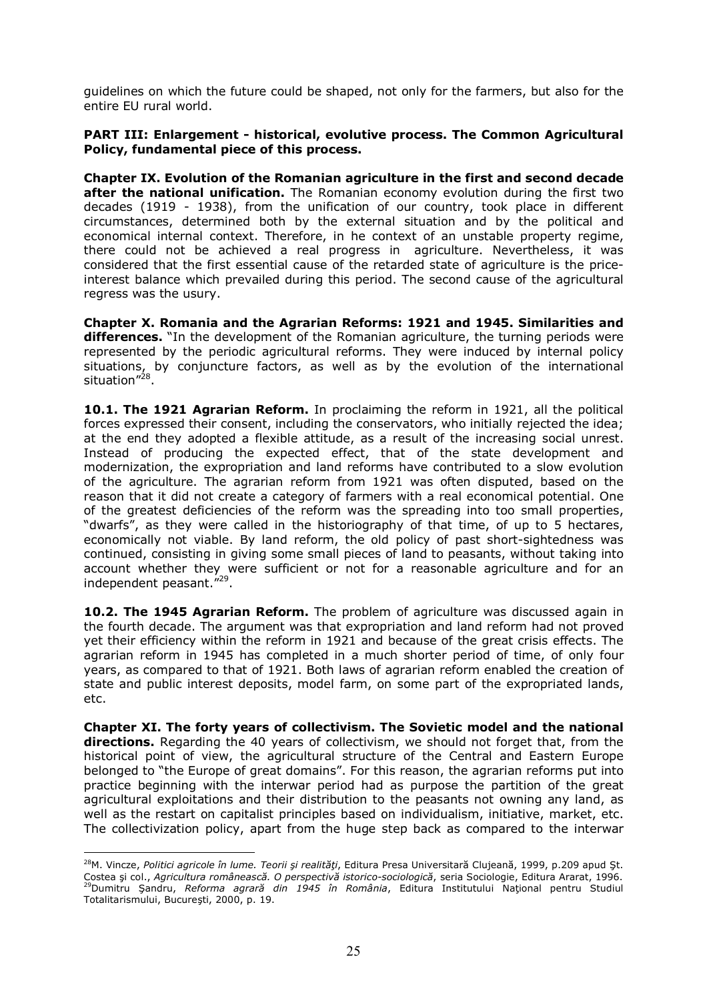guidelines on which the future could be shaped, not only for the farmers, but also for the entire EU rural world.

#### **PART III: Enlargement - historical, evolutive process. The Common Agricultural Policy, fundamental piece of this process.**

**Chapter IX. Evolution of the Romanian agriculture in the first and second decade after the national unification.** The Romanian economy evolution during the first two decades (1919 - 1938), from the unification of our country, took place in different circumstances, determined both by the external situation and by the political and economical internal context. Therefore, in he context of an unstable property regime, there could not be achieved a real progress in agriculture. Nevertheless, it was considered that the first essential cause of the retarded state of agriculture is the priceinterest balance which prevailed during this period. The second cause of the agricultural regress was the usury.

**Chapter X. Romania and the Agrarian Reforms: 1921 and 1945. Similarities and differences.** "In the development of the Romanian agriculture, the turning periods were represented by the periodic agricultural reforms. They were induced by internal policy situations, by conjuncture factors, as well as by the evolution of the international situation"<sup>28</sup>.

**10.1. The 1921 Agrarian Reform.** In proclaiming the reform in 1921, all the political forces expressed their consent, including the conservators, who initially rejected the idea; at the end they adopted a flexible attitude, as a result of the increasing social unrest. Instead of producing the expected effect, that of the state development and modernization, the expropriation and land reforms have contributed to a slow evolution of the agriculture. The agrarian reform from 1921 was often disputed, based on the reason that it did not create a category of farmers with a real economical potential. One of the greatest deficiencies of the reform was the spreading into too small properties, "dwarfs", as they were called in the historiography of that time, of up to 5 hectares, economically not viable. By land reform, the old policy of past short-sightedness was continued, consisting in giving some small pieces of land to peasants, without taking into account whether they were sufficient or not for a reasonable agriculture and for an independent peasant."<sup>29</sup>.

**10.2. The 1945 Agrarian Reform.** The problem of agriculture was discussed again in the fourth decade. The argument was that expropriation and land reform had not proved yet their efficiency within the reform in 1921 and because of the great crisis effects. The agrarian reform in 1945 has completed in a much shorter period of time, of only four years, as compared to that of 1921. Both laws of agrarian reform enabled the creation of state and public interest deposits, model farm, on some part of the expropriated lands, etc.

**Chapter XI. The forty years of collectivism. The Sovietic model and the national directions.** Regarding the 40 years of collectivism, we should not forget that, from the historical point of view, the agricultural structure of the Central and Eastern Europe belonged to "the Europe of great domains". For this reason, the agrarian reforms put into practice beginning with the interwar period had as purpose the partition of the great agricultural exploitations and their distribution to the peasants not owning any land, as well as the restart on capitalist principles based on individualism, initiative, market, etc. The collectivization policy, apart from the huge step back as compared to the interwar

 $\overline{a}$ <sup>28</sup>M. Vincze, *Politici agricole în lume. Teorii şi realităţi*, Editura Presa Universitară Clujeană, 1999, p.209 apud Şt. Costea şi col., *Agricultura românească. O perspectivă istorico-sociologică*, seria Sociologie, Editura Ararat, 1996. <sup>29</sup>Dumitru Şandru, *Reforma agrară din 1945 în România*, Editura Institutului Naţional pentru Studiul Totalitarismului, Bucureşti, 2000, p. 19.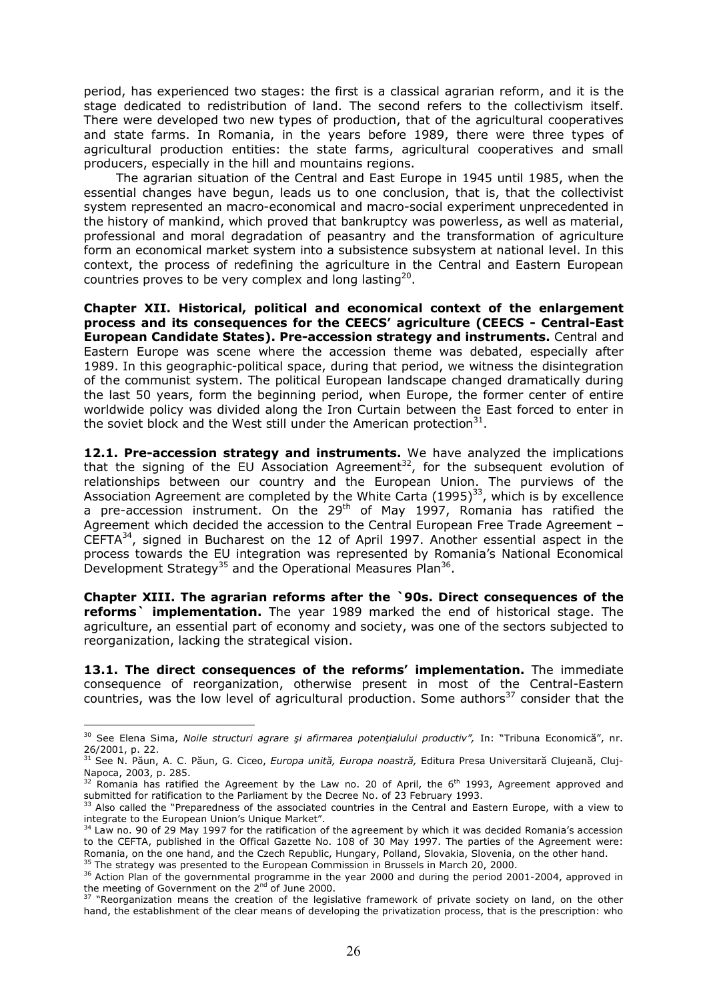period, has experienced two stages: the first is a classical agrarian reform, and it is the stage dedicated to redistribution of land. The second refers to the collectivism itself. There were developed two new types of production, that of the agricultural cooperatives and state farms. In Romania, in the years before 1989, there were three types of agricultural production entities: the state farms, agricultural cooperatives and small producers, especially in the hill and mountains regions.

The agrarian situation of the Central and East Europe in 1945 until 1985, when the essential changes have begun, leads us to one conclusion, that is, that the collectivist system represented an macro-economical and macro-social experiment unprecedented in the history of mankind, which proved that bankruptcy was powerless, as well as material, professional and moral degradation of peasantry and the transformation of agriculture form an economical market system into a subsistence subsystem at national level. In this context, the process of redefining the agriculture in the Central and Eastern European countries proves to be very complex and long lasting<sup>20</sup>.

**Chapter XII. Historical, political and economical context of the enlargement process and its consequences for the CEECS' agriculture (CEECS - Central-East European Candidate States). Pre-accession strategy and instruments.** Central and Eastern Europe was scene where the accession theme was debated, especially after 1989. In this geographic-political space, during that period, we witness the disintegration of the communist system. The political European landscape changed dramatically during the last 50 years, form the beginning period, when Europe, the former center of entire worldwide policy was divided along the Iron Curtain between the East forced to enter in the soviet block and the West still under the American protection $^{31}$ .

**12.1. Pre-accession strategy and instruments.** We have analyzed the implications that the signing of the EU Association Agreement<sup>32</sup>, for the subsequent evolution of relationships between our country and the European Union. The purviews of the Association Agreement are completed by the White Carta  $(1995)^{33}$ , which is by excellence a pre-accession instrument. On the 29<sup>th</sup> of May 1997, Romania has ratified the Agreement which decided the accession to the Central European Free Trade Agreement – CEFTA<sup>34</sup>, signed in Bucharest on the 12 of April 1997. Another essential aspect in the process towards the EU integration was represented by Romania's National Economical Development Strategy<sup>35</sup> and the Operational Measures Plan<sup>36</sup>.

**Chapter XIII. The agrarian reforms after the `90s. Direct consequences of the reforms` implementation.** The year 1989 marked the end of historical stage. The agriculture, an essential part of economy and society, was one of the sectors subjected to reorganization, lacking the strategical vision.

**13.1. The direct consequences of the reforms' implementation.** The immediate consequence of reorganization, otherwise present in most of the Central-Eastern countries, was the low level of agricultural production. Some authors $37$  consider that the

 30 See Elena Sima, *Noile structuri agrare şi afirmarea potenţialului productiv",* In: "Tribuna Economică", nr. 26/2001, p. 22.

<sup>31</sup> See N. Păun, A. C. Păun, G. Ciceo, *Europa unită, Europa noastră,* Editura Presa Universitară Clujeană, Cluj-Napoca, 2003, p. 285.

 $32$  Romania has ratified the Agreement by the Law no. 20 of April, the 6<sup>th</sup> 1993, Agreement approved and submitted for ratification to the Parliament by the Decree No. of 23 February 1993.

 $33$  Also called the "Preparedness of the associated countries in the Central and Eastern Europe, with a view to integrate to the European Union's Unique Market".

<sup>&</sup>lt;sup>34</sup> Law no. 90 of 29 May 1997 for the ratification of the agreement by which it was decided Romania's accession to the CEFTA, published in the Offical Gazette No. 108 of 30 May 1997. The parties of the Agreement were: Romania, on the one hand, and the Czech Republic, Hungary, Polland, Slovakia, Slovenia, on the other hand.  $35$  The strategy was presented to the European Commission in Brussels in March 20, 2000.

<sup>&</sup>lt;sup>36</sup> Action Plan of the governmental programme in the year 2000 and during the period 2001-2004, approved in the meeting of Government on the  $2^{nd}$  of June 2000.

<sup>&</sup>lt;sup>37</sup> "Reorganization means the creation of the legislative framework of private society on land, on the other hand, the establishment of the clear means of developing the privatization process, that is the prescription: who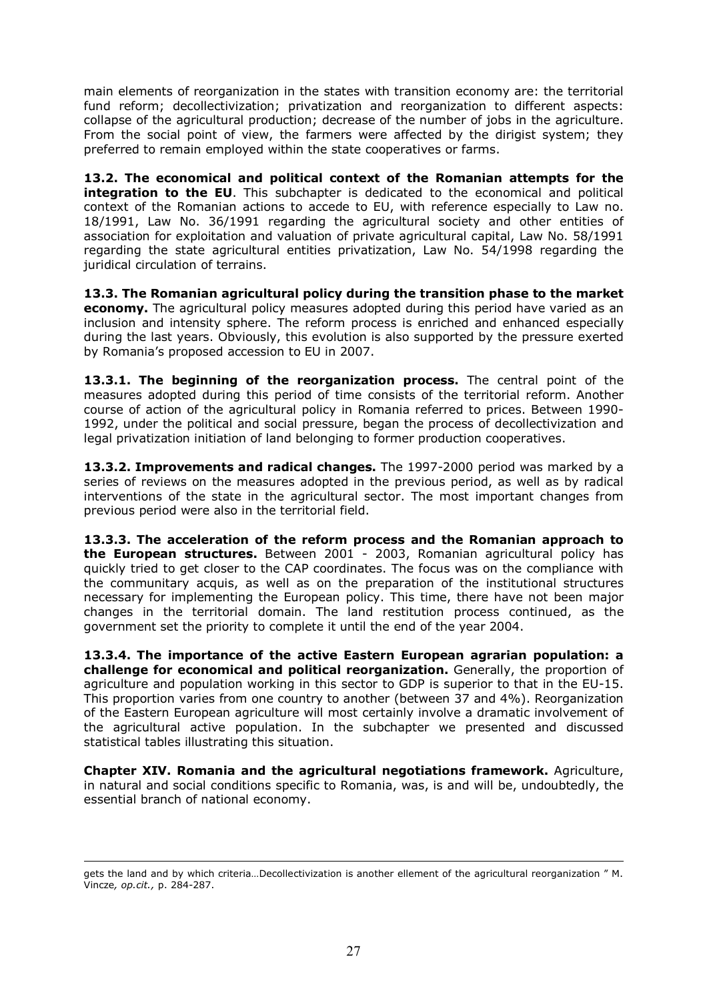main elements of reorganization in the states with transition economy are: the territorial fund reform; decollectivization; privatization and reorganization to different aspects: collapse of the agricultural production; decrease of the number of jobs in the agriculture. From the social point of view, the farmers were affected by the dirigist system; they preferred to remain employed within the state cooperatives or farms.

**13.2. The economical and political context of the Romanian attempts for the integration to the EU**. This subchapter is dedicated to the economical and political context of the Romanian actions to accede to EU, with reference especially to Law no. 18/1991, Law No. 36/1991 regarding the agricultural society and other entities of association for exploitation and valuation of private agricultural capital, Law No. 58/1991 regarding the state agricultural entities privatization, Law No. 54/1998 regarding the juridical circulation of terrains.

**13.3. The Romanian agricultural policy during the transition phase to the market economy.** The agricultural policy measures adopted during this period have varied as an inclusion and intensity sphere. The reform process is enriched and enhanced especially during the last years. Obviously, this evolution is also supported by the pressure exerted by Romania's proposed accession to EU in 2007.

**13.3.1. The beginning of the reorganization process.** The central point of the measures adopted during this period of time consists of the territorial reform. Another course of action of the agricultural policy in Romania referred to prices. Between 1990- 1992, under the political and social pressure, began the process of decollectivization and legal privatization initiation of land belonging to former production cooperatives.

**13.3.2. Improvements and radical changes.** The 1997-2000 period was marked by a series of reviews on the measures adopted in the previous period, as well as by radical interventions of the state in the agricultural sector. The most important changes from previous period were also in the territorial field.

**13.3.3. The acceleration of the reform process and the Romanian approach to the European structures.** Between 2001 - 2003, Romanian agricultural policy has quickly tried to get closer to the CAP coordinates. The focus was on the compliance with the communitary acquis, as well as on the preparation of the institutional structures necessary for implementing the European policy. This time, there have not been major changes in the territorial domain. The land restitution process continued, as the government set the priority to complete it until the end of the year 2004.

**13.3.4. The importance of the active Eastern European agrarian population: a challenge for economical and political reorganization.** Generally, the proportion of agriculture and population working in this sector to GDP is superior to that in the EU-15. This proportion varies from one country to another (between 37 and 4%). Reorganization of the Eastern European agriculture will most certainly involve a dramatic involvement of the agricultural active population. In the subchapter we presented and discussed statistical tables illustrating this situation.

**Chapter XIV. Romania and the agricultural negotiations framework.** Agriculture, in natural and social conditions specific to Romania, was, is and will be, undoubtedly, the essential branch of national economy.

 $\overline{a}$ gets the land and by which criteria…Decollectivization is another ellement of the agricultural reorganization " M. Vincze*, op.cit.,* p. 284-287.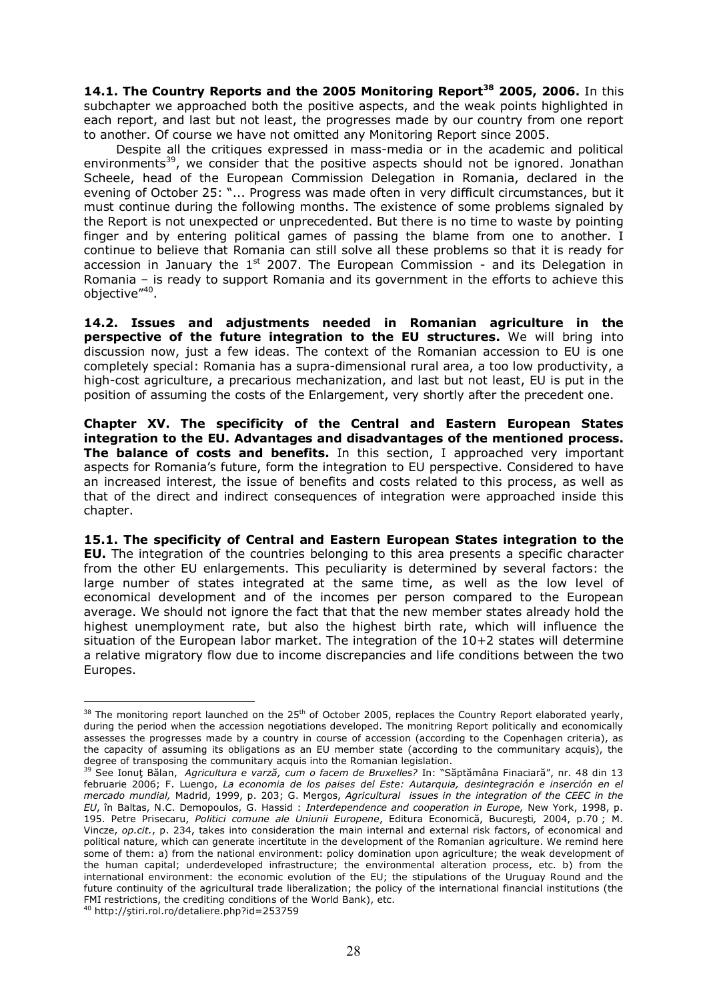**14.1. The Country Reports and the 2005 Monitoring Report<sup>38</sup> 2005, 2006.** In this subchapter we approached both the positive aspects, and the weak points highlighted in each report, and last but not least, the progresses made by our country from one report to another. Of course we have not omitted any Monitoring Report since 2005.

Despite all the critiques expressed in mass-media or in the academic and political environments<sup>39</sup>, we consider that the positive aspects should not be ignored. Jonathan Scheele, head of the European Commission Delegation in Romania, declared in the evening of October 25: "... Progress was made often in very difficult circumstances, but it must continue during the following months. The existence of some problems signaled by the Report is not unexpected or unprecedented. But there is no time to waste by pointing finger and by entering political games of passing the blame from one to another. I continue to believe that Romania can still solve all these problems so that it is ready for accession in January the  $1<sup>st</sup>$  2007. The European Commission - and its Delegation in Romania – is ready to support Romania and its government in the efforts to achieve this objective"<sup>40</sup>.

**14.2. Issues and adjustments needed in Romanian agriculture in the perspective of the future integration to the EU structures.** We will bring into discussion now, just a few ideas. The context of the Romanian accession to EU is one completely special: Romania has a supra-dimensional rural area, a too low productivity, a high-cost agriculture, a precarious mechanization, and last but not least, EU is put in the position of assuming the costs of the Enlargement, very shortly after the precedent one.

**Chapter XV. The specificity of the Central and Eastern European States integration to the EU. Advantages and disadvantages of the mentioned process. The balance of costs and benefits.** In this section, I approached very important aspects for Romania's future, form the integration to EU perspective. Considered to have an increased interest, the issue of benefits and costs related to this process, as well as that of the direct and indirect consequences of integration were approached inside this chapter.

**15.1. The specificity of Central and Eastern European States integration to the EU.** The integration of the countries belonging to this area presents a specific character from the other EU enlargements. This peculiarity is determined by several factors: the large number of states integrated at the same time, as well as the low level of economical development and of the incomes per person compared to the European average. We should not ignore the fact that that the new member states already hold the highest unemployment rate, but also the highest birth rate, which will influence the situation of the European labor market. The integration of the 10+2 states will determine a relative migratory flow due to income discrepancies and life conditions between the two Europes.

 $\overline{a}$  $38$  The monitoring report launched on the 25<sup>th</sup> of October 2005, replaces the Country Report elaborated yearly, during the period when the accession negotiations developed. The monitring Report politically and economically assesses the progresses made by a country in course of accession (according to the Copenhagen criteria), as the capacity of assuming its obligations as an EU member state (according to the communitary acquis), the degree of transposing the communitary acquis into the Romanian legislation.

<sup>39</sup> See Ionuţ Bălan, *Agricultura e varză, cum o facem de Bruxelles?* In: "Săptămâna Finaciară", nr. 48 din 13 februarie 2006; F. Luengo, *La economia de los paises del Este: Autarquia, desintegración e inserción en el mercado mundial,* Madrid, 1999, p. 203; G. Mergos, *Agricultural issues in the integration of the CEEC in the EU*, în Baltas, N.C. Demopoulos, G. Hassid : *Interdependence and cooperation in Europe,* New York, 1998, p. 195. Petre Prisecaru, *Politici comune ale Uniunii Europene*, Editura Economică, Bucureşti*,* 2004, p.70 ; M. Vincze, *op.cit.*, p. 234, takes into consideration the main internal and external risk factors, of economical and political nature, which can generate incertitute in the development of the Romanian agriculture. We remind here some of them: a) from the national environment: policy domination upon agriculture; the weak development of the human capital; underdeveloped infrastructure; the environmental alteration process, etc. b) from the international environment: the economic evolution of the EU; the stipulations of the Uruguay Round and the future continuity of the agricultural trade liberalization; the policy of the international financial institutions (the FMI restrictions, the crediting conditions of the World Bank), etc. <sup>40</sup> http://ştiri.rol.ro/detaliere.php?id=253759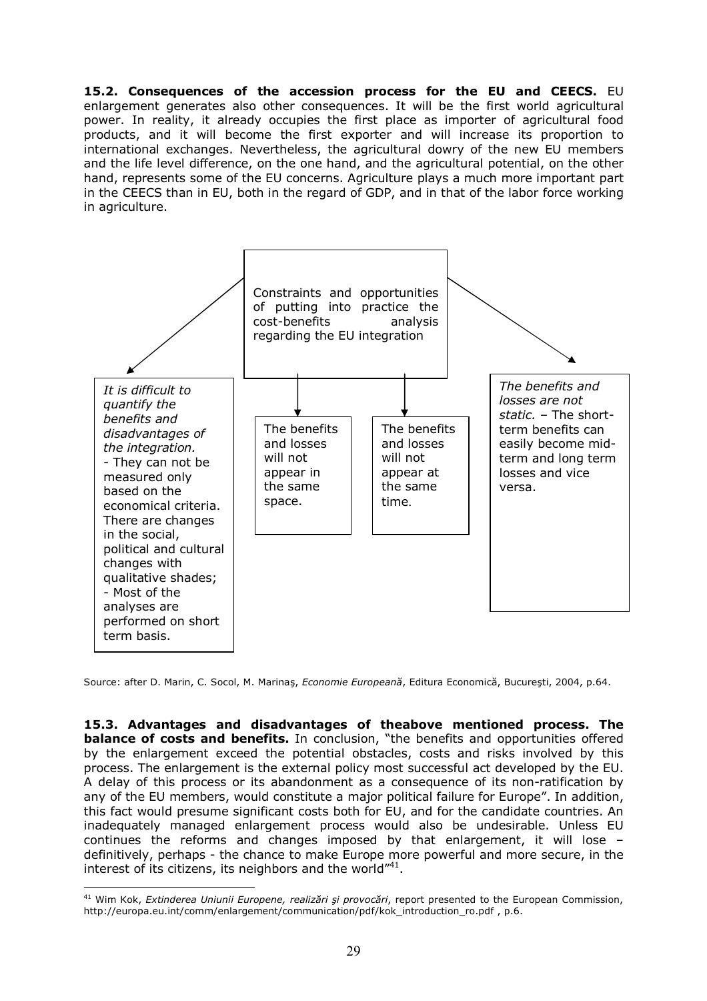**15.2. Consequences of the accession process for the EU and CEECS.** EU enlargement generates also other consequences. It will be the first world agricultural power. In reality, it already occupies the first place as importer of agricultural food products, and it will become the first exporter and will increase its proportion to international exchanges. Nevertheless, the agricultural dowry of the new EU members and the life level difference, on the one hand, and the agricultural potential, on the other hand, represents some of the EU concerns. Agriculture plays a much more important part in the CEECS than in EU, both in the regard of GDP, and in that of the labor force working in agriculture.



Source: after D. Marin, C. Socol, M. Marinaş, *Economie Europeană*, Editura Economică, Bucureşti, 2004, p.64.

**15.3. Advantages and disadvantages of theabove mentioned process. The balance of costs and benefits.** In conclusion, "the benefits and opportunities offered by the enlargement exceed the potential obstacles, costs and risks involved by this process. The enlargement is the external policy most successful act developed by the EU. A delay of this process or its abandonment as a consequence of its non-ratification by any of the EU members, would constitute a major political failure for Europe". In addition, this fact would presume significant costs both for EU, and for the candidate countries. An inadequately managed enlargement process would also be undesirable. Unless EU continues the reforms and changes imposed by that enlargement, it will lose – definitively, perhaps - the chance to make Europe more powerful and more secure, in the interest of its citizens, its neighbors and the world"<sup>41</sup>.

 $\overline{a}$ <sup>41</sup> Wim Kok, *Extinderea Uniunii Europene, realizări şi provocări*, report presented to the European Commission, http://europa.eu.int/comm/enlargement/communication/pdf/kok\_introduction\_ro.pdf , p.6.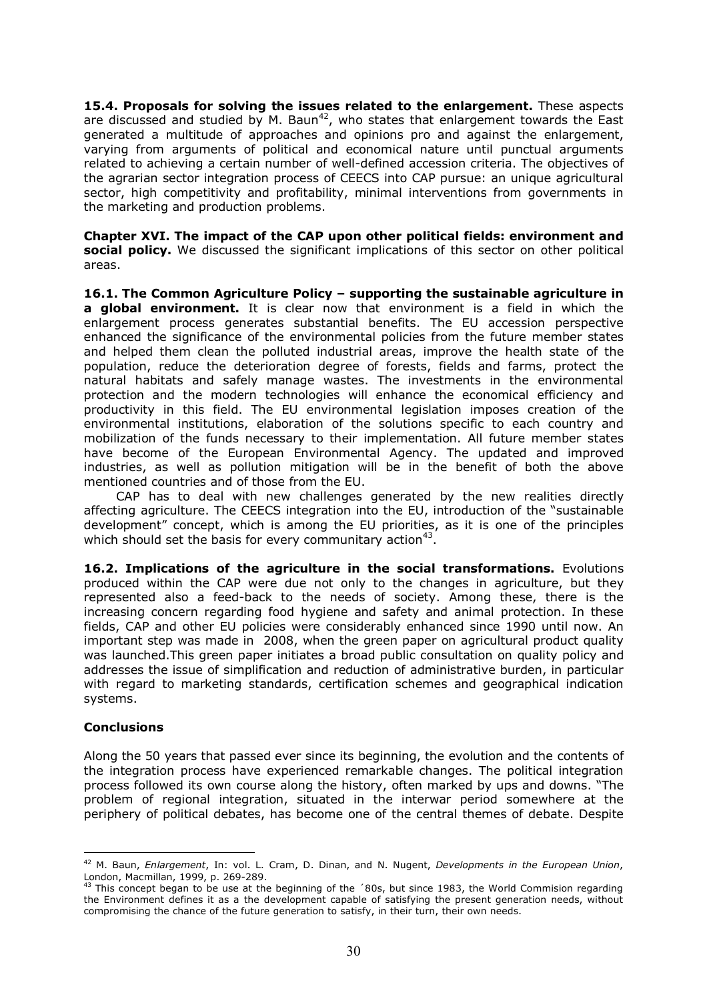**15.4. Proposals for solving the issues related to the enlargement.** These aspects are discussed and studied by M. Baun<sup>42</sup>, who states that enlargement towards the East generated a multitude of approaches and opinions pro and against the enlargement, varying from arguments of political and economical nature until punctual arguments related to achieving a certain number of well-defined accession criteria. The objectives of the agrarian sector integration process of CEECS into CAP pursue: an unique agricultural sector, high competitivity and profitability, minimal interventions from governments in the marketing and production problems.

**Chapter XVI. The impact of the CAP upon other political fields: environment and social policy.** We discussed the significant implications of this sector on other political areas.

**16.1. The Common Agriculture Policy – supporting the sustainable agriculture in a global environment.** It is clear now that environment is a field in which the enlargement process generates substantial benefits. The EU accession perspective enhanced the significance of the environmental policies from the future member states and helped them clean the polluted industrial areas, improve the health state of the population, reduce the deterioration degree of forests, fields and farms, protect the natural habitats and safely manage wastes. The investments in the environmental protection and the modern technologies will enhance the economical efficiency and productivity in this field. The EU environmental legislation imposes creation of the environmental institutions, elaboration of the solutions specific to each country and mobilization of the funds necessary to their implementation. All future member states have become of the European Environmental Agency. The updated and improved industries, as well as pollution mitigation will be in the benefit of both the above mentioned countries and of those from the EU.

CAP has to deal with new challenges generated by the new realities directly affecting agriculture. The CEECS integration into the EU, introduction of the "sustainable development" concept, which is among the EU priorities, as it is one of the principles which should set the basis for every communitary action<sup>43</sup>.

**16.2. Implications of the agriculture in the social transformations.** Evolutions produced within the CAP were due not only to the changes in agriculture, but they represented also a feed-back to the needs of society. Among these, there is the increasing concern regarding food hygiene and safety and animal protection. In these fields, CAP and other EU policies were considerably enhanced since 1990 until now. An important step was made in 2008, when the green paper on agricultural product quality was launched.This green paper initiates a broad public consultation on quality policy and addresses the issue of simplification and reduction of administrative burden, in particular with regard to marketing standards, certification schemes and geographical indication systems.

#### **Conclusions**

Along the 50 years that passed ever since its beginning, the evolution and the contents of the integration process have experienced remarkable changes. The political integration process followed its own course along the history, often marked by ups and downs. "The problem of regional integration, situated in the interwar period somewhere at the periphery of political debates, has become one of the central themes of debate. Despite

 $\overline{a}$ <sup>42</sup> M. Baun, *Enlargement*, In: vol. L. Cram, D. Dinan, and N. Nugent, *Developments in the European Union*, London, Macmillan, 1999, p. 269-289.

 $43$  This concept began to be use at the beginning of the  $30s$ , but since 1983, the World Commision regarding the Environment defines it as a the development capable of satisfying the present generation needs, without compromising the chance of the future generation to satisfy, in their turn, their own needs.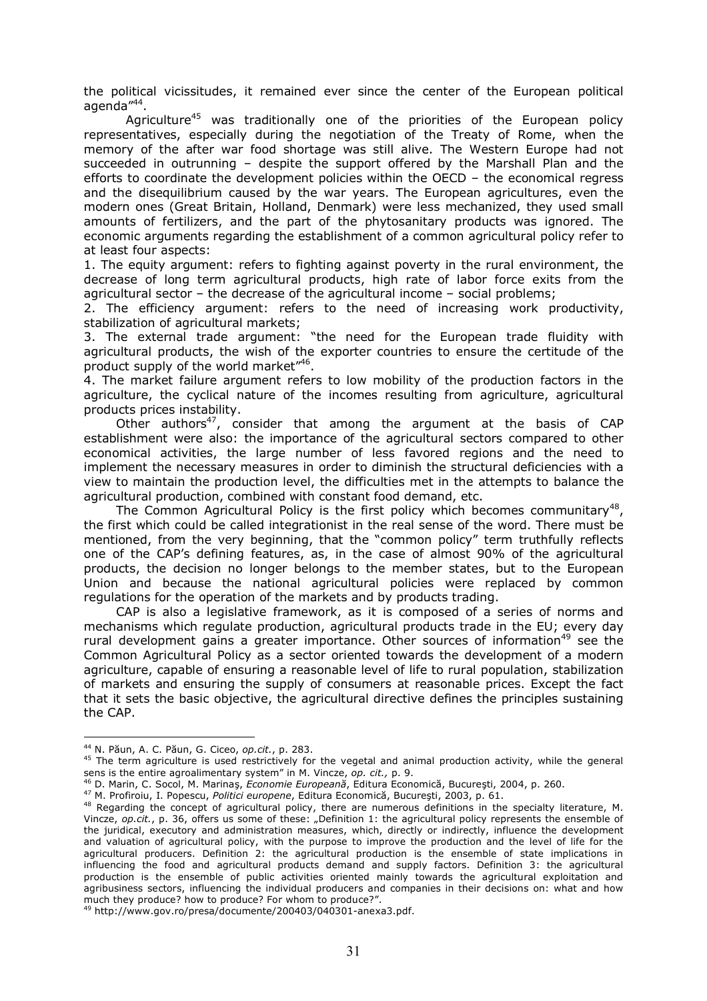the political vicissitudes, it remained ever since the center of the European political agenda"<sup>44</sup>.

Agriculture<sup>45</sup> was traditionally one of the priorities of the European policy representatives, especially during the negotiation of the Treaty of Rome, when the memory of the after war food shortage was still alive. The Western Europe had not succeeded in outrunning – despite the support offered by the Marshall Plan and the efforts to coordinate the development policies within the OECD – the economical regress and the disequilibrium caused by the war years. The European agricultures, even the modern ones (Great Britain, Holland, Denmark) were less mechanized, they used small amounts of fertilizers, and the part of the phytosanitary products was ignored. The economic arguments regarding the establishment of a common agricultural policy refer to at least four aspects:

1. The equity argument: refers to fighting against poverty in the rural environment, the decrease of long term agricultural products, high rate of labor force exits from the agricultural sector – the decrease of the agricultural income – social problems;

2. The efficiency argument: refers to the need of increasing work productivity, stabilization of agricultural markets;

3. The external trade argument: "the need for the European trade fluidity with agricultural products, the wish of the exporter countries to ensure the certitude of the product supply of the world market"<sup>46</sup>.

4. The market failure argument refers to low mobility of the production factors in the agriculture, the cyclical nature of the incomes resulting from agriculture, agricultural products prices instability.

Other authors<sup>47</sup>, consider that among the argument at the basis of CAP establishment were also: the importance of the agricultural sectors compared to other economical activities, the large number of less favored regions and the need to implement the necessary measures in order to diminish the structural deficiencies with a view to maintain the production level, the difficulties met in the attempts to balance the agricultural production, combined with constant food demand, etc.

The Common Agricultural Policy is the first policy which becomes communitary<sup>48</sup>, the first which could be called integrationist in the real sense of the word. There must be mentioned, from the very beginning, that the "common policy" term truthfully reflects one of the CAP's defining features, as, in the case of almost 90% of the agricultural products, the decision no longer belongs to the member states, but to the European Union and because the national agricultural policies were replaced by common regulations for the operation of the markets and by products trading.

CAP is also a legislative framework, as it is composed of a series of norms and mechanisms which regulate production, agricultural products trade in the EU; every day rural development gains a greater importance. Other sources of information<sup>49</sup> see the Common Agricultural Policy as a sector oriented towards the development of a modern agriculture, capable of ensuring a reasonable level of life to rural population, stabilization of markets and ensuring the supply of consumers at reasonable prices. Except the fact that it sets the basic objective, the agricultural directive defines the principles sustaining the CAP.

<sup>44</sup> N. Păun, A. C. Păun, G. Ciceo, *op.cit.*, p. 283.

<sup>&</sup>lt;sup>45</sup> The term agriculture is used restrictively for the vegetal and animal production activity, while the general sens is the entire agroalimentary system" in M. Vincze, *op. cit.,* p. 9.

<sup>46</sup> D. Marin, C. Socol, M. Marinaş, *Economie Europeană*, Editura Economică, Bucureşti, 2004, p. 260.

<sup>47</sup> M. Profiroiu, I. Popescu, *Politici europene*, Editura Economică, Bucureşti, 2003, p. 61.

<sup>&</sup>lt;sup>48</sup> Regarding the concept of agricultural policy, there are numerous definitions in the specialty literature, M. Vincze, *op.cit.*, p. 36, offers us some of these: "Definition 1: the agricultural policy represents the ensemble of the juridical, executory and administration measures, which, directly or indirectly, influence the development and valuation of agricultural policy, with the purpose to improve the production and the level of life for the agricultural producers. Definition 2: the agricultural production is the ensemble of state implications in influencing the food and agricultural products demand and supply factors. Definition 3: the agricultural production is the ensemble of public activities oriented mainly towards the agricultural exploitation and agribusiness sectors, influencing the individual producers and companies in their decisions on: what and how much they produce? how to produce? For whom to produce?".

<sup>49</sup> http://www.gov.ro/presa/documente/200403/040301-anexa3.pdf.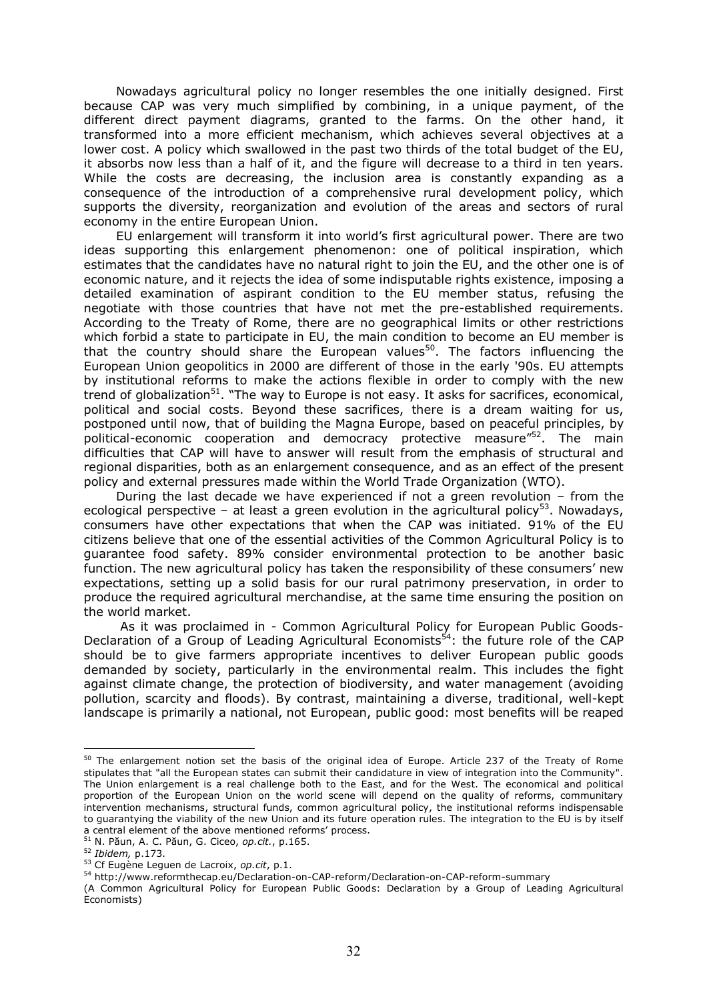Nowadays agricultural policy no longer resembles the one initially designed. First because CAP was very much simplified by combining, in a unique payment, of the different direct payment diagrams, granted to the farms. On the other hand, it transformed into a more efficient mechanism, which achieves several objectives at a lower cost. A policy which swallowed in the past two thirds of the total budget of the EU, it absorbs now less than a half of it, and the figure will decrease to a third in ten years. While the costs are decreasing, the inclusion area is constantly expanding as a consequence of the introduction of a comprehensive rural development policy, which supports the diversity, reorganization and evolution of the areas and sectors of rural economy in the entire European Union.

EU enlargement will transform it into world's first agricultural power. There are two ideas supporting this enlargement phenomenon: one of political inspiration, which estimates that the candidates have no natural right to join the EU, and the other one is of economic nature, and it rejects the idea of some indisputable rights existence, imposing a detailed examination of aspirant condition to the EU member status, refusing the negotiate with those countries that have not met the pre-established requirements. According to the Treaty of Rome, there are no geographical limits or other restrictions which forbid a state to participate in EU, the main condition to become an EU member is that the country should share the European values<sup>50</sup>. The factors influencing the European Union geopolitics in 2000 are different of those in the early '90s. EU attempts by institutional reforms to make the actions flexible in order to comply with the new trend of globalization<sup>51</sup>. "The way to Europe is not easy. It asks for sacrifices, economical, political and social costs. Beyond these sacrifices, there is a dream waiting for us, postponed until now, that of building the Magna Europe, based on peaceful principles, by political-economic cooperation and democracy protective measure<sup>"52</sup>. The main difficulties that CAP will have to answer will result from the emphasis of structural and regional disparities, both as an enlargement consequence, and as an effect of the present policy and external pressures made within the World Trade Organization (WTO).

During the last decade we have experienced if not a green revolution – from the ecological perspective – at least a green evolution in the agricultural policy<sup>53</sup>. Nowadays, consumers have other expectations that when the CAP was initiated. 91% of the EU citizens believe that one of the essential activities of the Common Agricultural Policy is to guarantee food safety. 89% consider environmental protection to be another basic function. The new agricultural policy has taken the responsibility of these consumers' new expectations, setting up a solid basis for our rural patrimony preservation, in order to produce the required agricultural merchandise, at the same time ensuring the position on the world market.

 As it was proclaimed in - Common Agricultural Policy for European Public Goods-Declaration of a Group of Leading Agricultural Economists<sup>54</sup>: the future role of the CAP should be to give farmers appropriate incentives to deliver European public goods demanded by society, particularly in the environmental realm. This includes the fight against climate change, the protection of biodiversity, and water management (avoiding pollution, scarcity and floods). By contrast, maintaining a diverse, traditional, well-kept landscape is primarily a national, not European, public good: most benefits will be reaped

 $^{50}$  The enlargement notion set the basis of the original idea of Europe. Article 237 of the Treaty of Rome stipulates that "all the European states can submit their candidature in view of integration into the Community". The Union enlargement is a real challenge both to the East, and for the West. The economical and political proportion of the European Union on the world scene will depend on the quality of reforms, communitary intervention mechanisms, structural funds, common agricultural policy, the institutional reforms indispensable to guarantying the viability of the new Union and its future operation rules. The integration to the EU is by itself a central element of the above mentioned reforms' process.

<sup>51</sup> N. Păun, A. C. Păun, G. Ciceo, *op.cit.*, p.165.

<sup>52</sup> *Ibidem,* p.173.

<sup>53</sup> Cf Eugène Leguen de Lacroix, *op.cit*, p.1.

<sup>54</sup> http://www.reformthecap.eu/Declaration-on-CAP-reform/Declaration-on-CAP-reform-summary

<sup>(</sup>A Common Agricultural Policy for European Public Goods: Declaration by a Group of Leading Agricultural Economists)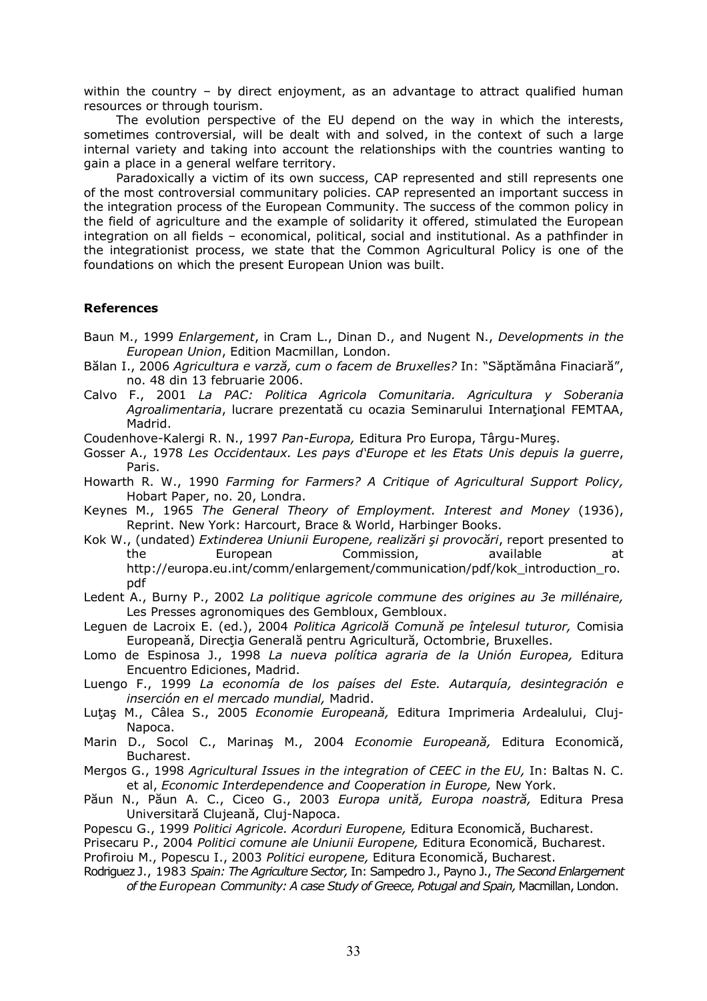within the country – by direct enjoyment, as an advantage to attract qualified human resources or through tourism.

The evolution perspective of the EU depend on the way in which the interests, sometimes controversial, will be dealt with and solved, in the context of such a large internal variety and taking into account the relationships with the countries wanting to gain a place in a general welfare territory.

Paradoxically a victim of its own success, CAP represented and still represents one of the most controversial communitary policies. CAP represented an important success in the integration process of the European Community. The success of the common policy in the field of agriculture and the example of solidarity it offered, stimulated the European integration on all fields – economical, political, social and institutional. As a pathfinder in the integrationist process, we state that the Common Agricultural Policy is one of the foundations on which the present European Union was built.

#### **References**

- Baun M., 1999 *Enlargement*, in Cram L., Dinan D., and Nugent N., *Developments in the European Union*, Edition Macmillan, London.
- Bălan I., 2006 *Agricultura e varză, cum o facem de Bruxelles?* In: "Săptămâna Finaciară", no. 48 din 13 februarie 2006.
- Calvo F., 2001 *La PAC: Politica Agricola Comunitaria. Agricultura y Soberania Agroalimentaria*, lucrare prezentată cu ocazia Seminarului Internaţional FEMTAA, Madrid.

Coudenhove-Kalergi R. N., 1997 *Pan-Europa,* Editura Pro Europa, Târgu-Mureş.

- Gosser A., 1978 *Les Occidentaux. Les pays d'Europe et les Etats Unis depuis la guerre*, Paris.
- Howarth R. W., 1990 *Farming for Farmers? A Critique of Agricultural Support Policy,* Hobart Paper, no. 20, Londra.
- Keynes M., 1965 *The General Theory of Employment. Interest and Money* (1936), Reprint. New York: Harcourt, Brace & World, Harbinger Books.
- Kok W., (undated) *Extinderea Uniunii Europene, realizări şi provocări*, report presented to the European Commission, available at http://europa.eu.int/comm/enlargement/communication/pdf/kok\_introduction\_ro. pdf
- Ledent A., Burny P., 2002 *La politique agricole commune des origines au 3e millénaire,* Les Presses agronomiques des Gembloux, Gembloux.
- Leguen de Lacroix E. (ed.), 2004 *Politica Agricolă Comună pe înţelesul tuturor,* Comisia Europeană, Direcţia Generală pentru Agricultură, Octombrie, Bruxelles.
- Lomo de Espinosa J., 1998 *La nueva política agraria de la Unión Europea,* Editura Encuentro Ediciones, Madrid.
- Luengo F., 1999 *La economía de los países del Este. Autarquía, desintegración e inserción en el mercado mundial,* Madrid.
- Luţaş M., Câlea S., 2005 *Economie Europeană,* Editura Imprimeria Ardealului, Cluj-Napoca.
- Marin D., Socol C., Marinaş M., 2004 *Economie Europeană,* Editura Economică, Bucharest.
- Mergos G., 1998 *Agricultural Issues in the integration of CEEC in the EU,* In: Baltas N. C. et al, *Economic Interdependence and Cooperation in Europe,* New York.
- Păun N., Păun A. C., Ciceo G., 2003 *Europa unită, Europa noastră,* Editura Presa Universitară Clujeană, Cluj-Napoca.
- Popescu G., 1999 *Politici Agricole. Acorduri Europene,* Editura Economică, Bucharest.
- Prisecaru P., 2004 *Politici comune ale Uniunii Europene,* Editura Economică, Bucharest.

Profiroiu M., Popescu I., 2003 *Politici europene,* Editura Economică, Bucharest.

Rodriguez J., 1983 *Spain: The Agriculture Sector,* In: Sаmpedro J., Payno J., *The Second Enlargement of the European Community: A case Study of Greece, Potugal and Spain,* Macmillan, London.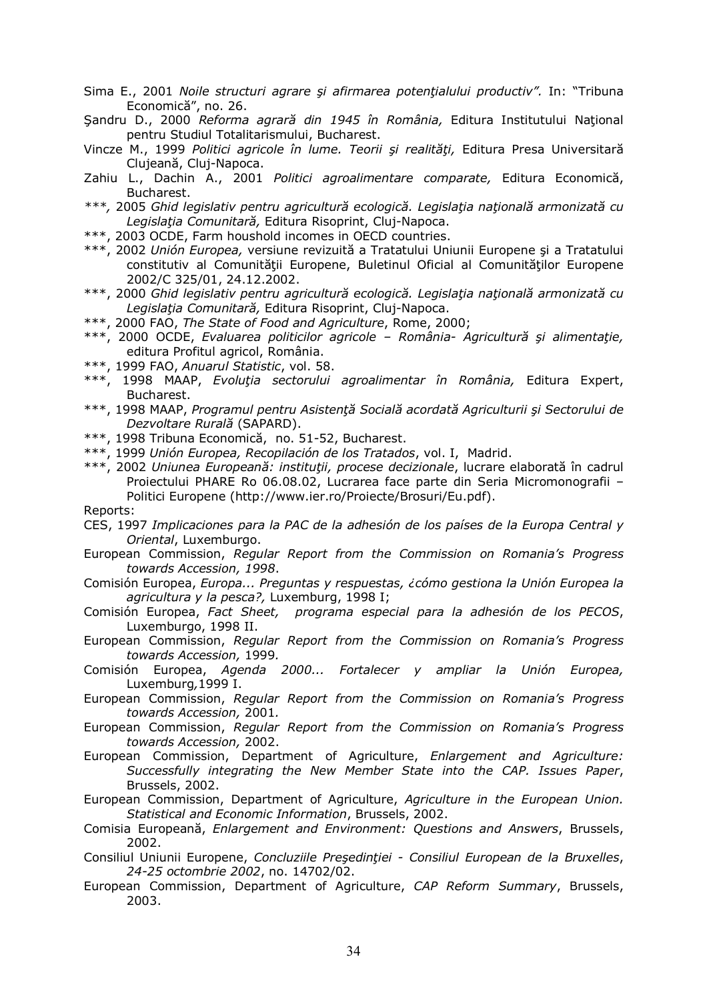- Sima E., 2001 *Noile structuri agrare şi afirmarea potenţialului productiv".* In: "Tribuna Economică", no. 26.
- Şandru D., 2000 *Reforma agrară din 1945 în România,* Editura Institutului Naţional pentru Studiul Totalitarismului, Bucharest.
- Vincze M., 1999 *Politici agricole în lume. Teorii şi realităţi,* Editura Presa Universitară Clujeană, Cluj-Napoca.
- Zahiu L., Dachin A., 2001 *Politici agroalimentare comparate,* Editura Economică, Bucharest.
- *\*\*\*,* 2005 *Ghid legislativ pentru agricultură ecologică. Legislaţia naţională armonizată cu Legislaţia Comunitară,* Editura Risoprint, Cluj-Napoca.
- \*\*\*, 2003 OCDE, Farm houshold incomes in OECD countries.
- \*\*\*, 2002 *Unión Europea,* versiune revizuită a Tratatului Uniunii Europene şi a Tratatului constitutiv al Comunităţii Europene, Buletinul Oficial al Comunităţilor Europene 2002/C 325/01, 24.12.2002.
- \*\*\*, 2000 *Ghid legislativ pentru agricultură ecologică. Legislaţia naţională armonizată cu Legislaţia Comunitară,* Editura Risoprint, Cluj-Napoca.
- \*\*\*, 2000 FAO, *The State of Food and Agriculture*, Rome, 2000;
- \*\*\*, 2000 OCDE, *Evaluarea politicilor agricole România- Agricultură şi alimentaţie,* editura Profitul agricol, România.
- \*\*\*, 1999 FAO, *Anuarul Statistic*, vol. 58.
- \*\*\*, 1998 MAAP, *Evoluţia sectorului agroalimentar în România,* Editura Expert, Bucharest.
- \*\*\*, 1998 MAAP, *Programul pentru Asistenţă Socială acordată Agriculturii şi Sectorului de Dezvoltare Rurală* (SAPARD).
- \*\*\*, 1998 Tribuna Economică, no. 51-52, Bucharest.
- \*\*\*, 1999 *Unión Europea, Recopilación de los Tratados*, vol. I, Madrid.
- \*\*\*, 2002 *Uniunea Europeană: instituţii, procese decizionale*, lucrare elaborată în cadrul Proiectului PHARE Ro 06.08.02, Lucrarea face parte din Seria Micromonografii – Politici Europene (http://www.ier.ro/Proiecte/Brosuri/Eu.pdf).

#### Reports:

- CES, 1997 *Implicaciones para la PAC de la adhesión de los países de la Europa Central y Oriental*, Luxemburgo.
- European Commission, *Regular Report from the Commission on Romania's Progress towards Accession, 1998*.
- Comisión Europea, *Europa... Preguntas y respuestas, ¿cómo gestiona la Unión Europea la agricultura y la pesca?,* Luxemburg, 1998 I;
- Comisión Europea, *Fact Sheet, programa especial para la adhesión de los PECOS*, Luxemburgo, 1998 II.
- European Commission, *Regular Report from the Commission on Romania's Progress towards Accession,* 1999*.*
- Comisión Europea, *Agenda 2000... Fortalecer y ampliar la Unión Europea,*  Luxemburg*,*1999 I.
- European Commission, *Regular Report from the Commission on Romania's Progress towards Accession,* 2001*.*
- European Commission, *Regular Report from the Commission on Romania's Progress towards Accession,* 2002.
- European Commission, Department of Agriculture, *Enlargement and Agriculture: Successfully integrating the New Member State into the CAP. Issues Paper*, Brussels, 2002.
- European Commission, Department of Agriculture, *Agriculture in the European Union. Statistical and Economic Information*, Brussels, 2002.
- Comisia Europeană, *Enlargement and Environment: Questions and Answers*, Brussels, 2002.
- Consiliul Uniunii Europene, *Concluziile Preşedinţiei Consiliul European de la Bruxelles*, *24-25 octombrie 2002*, no. 14702/02.
- European Commission, Department of Agriculture, *CAP Reform Summary*, Brussels, 2003.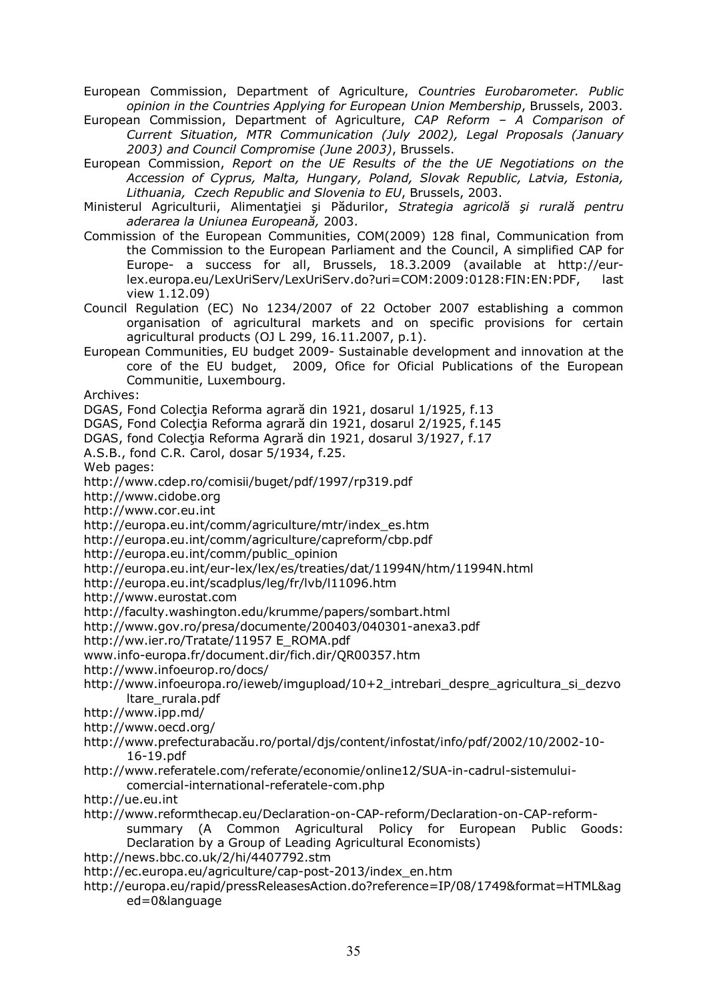European Commission, Department of Agriculture, *Countries Eurobarometer. Public opinion in the Countries Applying for European Union Membership*, Brussels, 2003.

European Commission, Department of Agriculture, *CAP Reform – A Comparison of Current Situation, MTR Communication (July 2002), Legal Proposals (January 2003) and Council Compromise (June 2003)*, Brussels.

European Commission, *Report on the UE Results of the the UE Negotiations on the Accession of Cyprus, Malta, Hungary, Poland, Slovak Republic, Latvia, Estonia, Lithuania, Czech Republic and Slovenia to EU*, Brussels, 2003.

Ministerul Agriculturii, Alimentaţiei şi Pădurilor, *Strategia agricolă şi rurală pentru aderarea la Uniunea Europeană,* 2003.

Commission of the European Communities, COM(2009) 128 final, Communication from the Commission to the European Parliament and the Council, A simplified CAP for Europe- a success for all, Brussels, 18.3.2009 (available at http://eurlex.europa.eu/LexUriServ/LexUriServ.do?uri=COM:2009:0128:FIN:EN:PDF, last view 1.12.09)

Council Regulation (EC) No 1234/2007 of 22 October 2007 establishing a common organisation of agricultural markets and on specific provisions for certain agricultural products (OJ L 299, 16.11.2007, p.1).

European Communities, EU budget 2009- Sustainable development and innovation at the core of the EU budget, 2009, Ofice for Oficial Publications of the European Communitie, Luxembourg.

Archives:

DGAS, Fond Colecţia Reforma agrară din 1921, dosarul 1/1925, f.13

DGAS, Fond Colectia Reforma agrară din 1921, dosarul 2/1925, f.145

DGAS, fond Colecția Reforma Agrară din 1921, dosarul 3/1927, f.17

A.S.B., fond C.R. Carol, dosar 5/1934, f.25.

Web pages:

http://www.cdep.ro/comisii/buget/pdf/1997/rp319.pdf

http://www.cidobe.org

http://www.cor.eu.int

http://europa.eu.int/comm/agriculture/mtr/index\_es.htm

http://europa.eu.int/comm/agriculture/capreform/cbp.pdf

http://europa.eu.int/comm/public\_opinion

http://europa.eu.int/eur-lex/lex/es/treaties/dat/11994N/htm/11994N.html

http://europa.eu.int/scadplus/leg/fr/lvb/l11096.htm

http://www.eurostat.com

http://faculty.washington.edu/krumme/papers/sombart.html

http://www.gov.ro/presa/documente/200403/040301-anexa3.pdf

http://ww.ier.ro/Tratate/11957 E\_ROMA.pdf

www.info-europa.fr/document.dir/fich.dir/QR00357.htm

http://www.infoeurop.ro/docs/

http://www.infoeuropa.ro/ieweb/imgupload/10+2\_intrebari\_despre\_agricultura\_si\_dezvo ltare\_rurala.pdf

http://www.ipp.md/

http://www.oecd.org/

http://www.prefecturabacău.ro/portal/djs/content/infostat/info/pdf/2002/10/2002-10- 16-19.pdf

http://www.referatele.com/referate/economie/online12/SUA-in-cadrul-sistemuluicomercial-international-referatele-com.php

http://ue.eu.int

http://www.reformthecap.eu/Declaration-on-CAP-reform/Declaration-on-CAP-reformsummary (A Common Agricultural Policy for European Public Goods: Declaration by a Group of Leading Agricultural Economists)

http://news.bbc.co.uk/2/hi/4407792.stm

http://ec.europa.eu/agriculture/cap-post-2013/index\_en.htm

http://europa.eu/rapid/pressReleasesAction.do?reference=IP/08/1749&format=HTML&ag ed=0&language